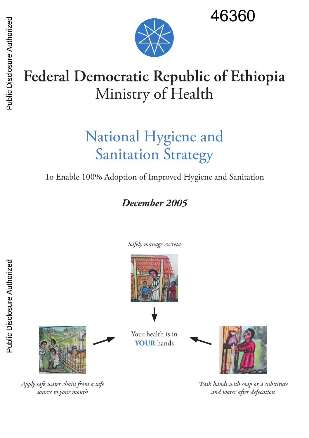

# **Federal Democratic Republic of Ethiopia** Ministry of Health

# National Hygiene and Sanitation Strategy

To Enable 100% Adoption of Improved Hygiene and Sanitation

## *December 2005*

Public Disclosure Authorized Public Disclosure Authorized



*Apply safe water chain from a safe source to your mouth*

Your health is in **YOUR** hands



*Wash hands with soap or a substitute and water after defecation*

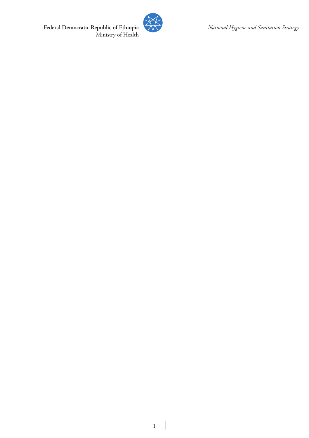**Federal Democratic Republic of Ethiopia** *National Hygiene and Sanitation Strategy* Ministry of Health



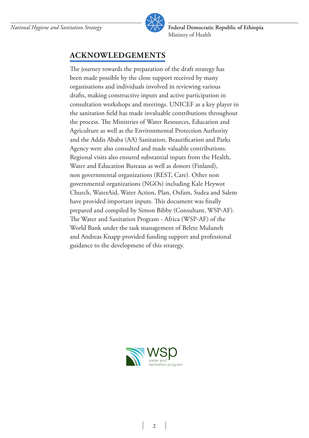

*National Hygiene and Sanitation Strategy* **Federal Democratic Republic of Ethiopia** Ministry of Health

### **Acknowledgements**

The journey towards the preparation of the draft strategy has been made possible by the close support received by many organisations and individuals involved in reviewing various drafts, making constructive inputs and active participation in consultation workshops and meetings. UNICEF as a key player in the sanitation field has made invaluable contributions throughout the process. The Ministries of Water Resources, Education and Agriculture as well as the Environmental Protection Authority and the Addis Ababa (AA) Sanitation, Beautification and Parks Agency were also consulted and made valuable contributions. Regional visits also ensured substantial inputs from the Health, Water and Education Bureaus as well as donors (Finland), non governmental organizations (REST, Care). Other non governmental organizations (NGOs) including Kale Heywot Church, WaterAid, Water Action, Plan, Oxfam, Sudea and Salem have provided important inputs. This document was finally prepared and compiled by Simon Bibby (Consultant, WSP-AF). The Water and Sanitation Program - Africa (WSP-AF) of the World Bank under the task management of Belete Muluneh and Andreas Knapp provided funding support and professional guidance to the development of this strategy.

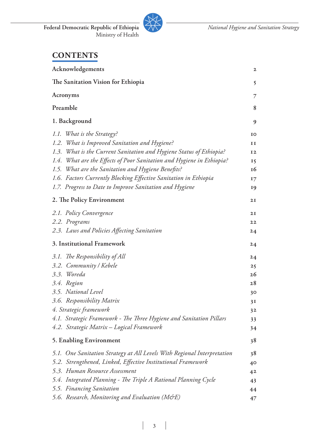**Federal Democratic Republic of Ethiopia** *National Hygiene and Sanitation Strategy* Ministry of Health



#### **CONTENTS**

| Acknowledgements                                                        | $\mathbf{2}$   |
|-------------------------------------------------------------------------|----------------|
| The Sanitation Vision for Ethiopia                                      | 5              |
| Acronyms                                                                | 7              |
| Preamble                                                                | 8              |
| 1. Background                                                           | 9              |
| 1.1. What is the Strategy?                                              | 10             |
| 1.2. What is Improved Sanitation and Hygiene?                           | II             |
| 1.3. What is the Current Sanitation and Hygiene Status of Ethiopia?     | I <sub>2</sub> |
| 1.4. What are the Effects of Poor Sanitation and Hygiene in Ethiopia?   | 15             |
| 1.5. What are the Sanitation and Hygiene Benefits?                      | 16             |
| 1.6. Factors Currently Blocking Effective Sanitation in Ethiopia        | 17             |
| 1.7. Progress to Date to Improve Sanitation and Hygiene                 | 19             |
| 2. The Policy Environment                                               | 2I             |
| 2.1. Policy Convergence                                                 | 2I             |
| 2.2. Programs                                                           | 22             |
| 2.3. Laws and Policies Affecting Sanitation                             | $^{24}$        |
| 3. Institutional Framework                                              | 24             |
| 3.1. The Responsibility of All                                          | 24             |
| 3.2. Community / Kebele                                                 | 25             |
| 3.3. Woreda                                                             | 26             |
| 3.4. Region                                                             | 28             |
| 3.5. National Level                                                     | 30             |
| 3.6. Responsibility Matrix                                              | 3I             |
| 4. Strategic framework                                                  | 3 <sup>2</sup> |
| 4.1. Strategic Framework - The Three Hygiene and Sanitation Pillars     | 33             |
| 4.2. Strategic Matrix – Logical Framework                               | 34             |
| 5. Enabling Environment                                                 | 38             |
| 5.1. One Sanitation Strategy at All Levels With Regional Interpretation | 38             |
| 5.2. Strengthened, Linked, Effective Institutional Framework            | 40             |
| 5.3. Human Resource Assessment                                          | 4 <sup>2</sup> |
| 5.4. Integrated Planning - The Triple A Rational Planning Cycle         | 43             |
| 5.5. Financing Sanitation                                               | 44             |
| 5.6. Research, Monitoring and Evaluation (M&E)                          | 47             |

 $\begin{array}{c} \hline \end{array}$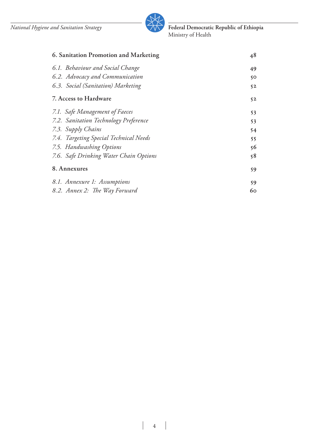

#### *National Hygiene and Sanitation Strategy* **Federal Democratic Republic of Ethiopia** Ministry of Health

| 6. Sanitation Promotion and Marketing  | 48 |
|----------------------------------------|----|
| 6.1. Behaviour and Social Change       | 49 |
| 6.2. Advocacy and Communication        | 50 |
| 6.3. Social (Sanitation) Marketing     | 52 |
| 7. Access to Hardware                  | 52 |
| 7.1. Safe Management of Faeces         | 53 |
| 7.2. Sanitation Technology Preference  | 53 |
| 7.3. Supply Chains                     | 54 |
| 7.4. Targeting Special Technical Needs | 55 |
| 7.5. Handwashing Options               | 56 |
| 7.6. Safe Drinking Water Chain Options | 58 |
| 8. Annexures                           | 59 |
| 8.1. Annexure 1: Assumptions           | 59 |
| 8.2. Annex 2: The Way Forward          | 60 |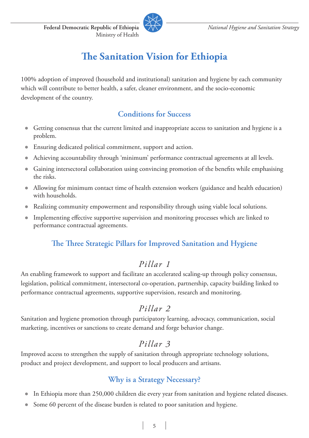**Federal Democratic Republic of Ethiopia** *NA National Hygiene and Sanitation Strategy* Ministry of Health



### **The Sanitation Vision for Ethiopia**

100% adoption of improved (household and institutional) sanitation and hygiene by each community which will contribute to better health, a safer, cleaner environment, and the socio-economic development of the country.

### **Conditions for Success**

- ◎ Getting consensus that the current limited and inappropriate access to sanitation and hygiene is a problem.
- Ensuring dedicated political commitment, support and action.  $\odot$
- Achieving accountability through 'minimum' performance contractual agreements at all levels.  $\bullet$
- Gaining intersectoral collaboration using convincing promotion of the benefits while emphasising ◉ the risks.
- Allowing for minimum contact time of health extension workers (guidance and health education) ◉ with households.
- Realizing community empowerment and responsibility through using viable local solutions.  $\bullet$
- Implementing effective supportive supervision and monitoring processes which are linked to ◉ performance contractual agreements.

### **The Three Strategic Pillars for Improved Sanitation and Hygiene**

### *Pillar 1*

An enabling framework to support and facilitate an accelerated scaling-up through policy consensus, legislation, political commitment, intersectoral co-operation, partnership, capacity building linked to performance contractual agreements, supportive supervision, research and monitoring.

#### *Pillar 2*

Sanitation and hygiene promotion through participatory learning, advocacy, communication, social marketing, incentives or sanctions to create demand and forge behavior change.

### *Pillar 3*

Improved access to strengthen the supply of sanitation through appropriate technology solutions, product and project development, and support to local producers and artisans.

### **Why is a Strategy Necessary?**

- In Ethiopia more than 250,000 children die every year from sanitation and hygiene related diseases. ◉
- Some 60 percent of the disease burden is related to poor sanitation and hygiene. ◉

 $\begin{vmatrix} 5 \end{vmatrix}$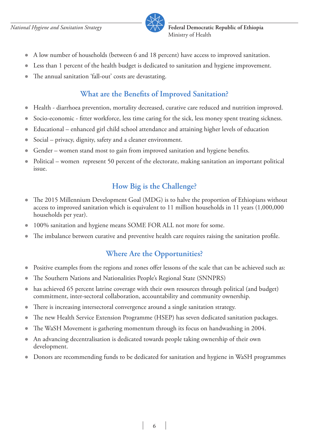

- A low number of households (between 6 and 18 percent) have access to improved sanitation. ◉
- Less than 1 percent of the health budget is dedicated to sanitation and hygiene improvement. ◉
- The annual sanitation 'fall-out' costs are devastating.  $\odot$

### **What are the Benefits of Improved Sanitation?**

- Health diarrhoea prevention, mortality decreased, curative care reduced and nutrition improved.  $\odot$
- Socio-economic fitter workforce, less time caring for the sick, less money spent treating sickness.  $\bullet$
- Educational enhanced girl child school attendance and attaining higher levels of education ◉
- Social privacy, dignity, safety and a cleaner environment.  $\bullet$
- Gender women stand most to gain from improved sanitation and hygiene benefits.  $\bullet$
- Political women represent 50 percent of the electorate, making sanitation an important political issue.  $\bullet$

### **How Big is the Challenge?**

- The 2015 Millennium Development Goal (MDG) is to halve the proportion of Ethiopians without access to improved sanitation which is equivalent to 11 million households in 11 years (1,000,000 households per year).  $\bullet$
- 100% sanitation and hygiene means SOME FOR ALL not more for some.  $\bullet$
- The imbalance between curative and preventive health care requires raising the sanitation profile.  $\bullet$

### **Where Are the Opportunities?**

- Positive examples from the regions and zones offer lessons of the scale that can be achieved such as:  $\bullet$
- The Southern Nations and Nationalities People's Regional State (SNNPRS)  $\bullet$
- has achieved 65 percent latrine coverage with their own resources through political (and budget) ◉ commitment, inter-sectoral collaboration, accountability and community ownership.
- There is increasing intersectoral convergence around a single sanitation strategy.  $\bullet$
- The new Health Service Extension Programme (HSEP) has seven dedicated sanitation packages.  $\bullet$
- The WaSH Movement is gathering momentum through its focus on handwashing in 2004.  $\bullet$
- An advancing decentralisation is dedicated towards people taking ownership of their own development.  $\bullet$
- Donors are recommending funds to be dedicated for sanitation and hygiene in WaSH programmes  $\bullet$

 $6\overline{6}$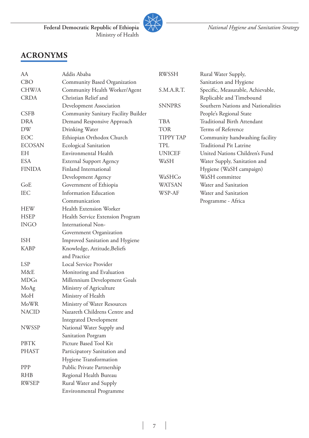

### **Acronyms**

| AA            | Addis Ababa                         | <b>RWSSH</b>  | Rural Water Supply,                |
|---------------|-------------------------------------|---------------|------------------------------------|
| <b>CBO</b>    | Community Based Organization        |               | Sanitation and Hygiene             |
| CHW/A         | Community Health Worker/Agent       | S.M.A.R.T.    | Specific, Measurable, Achievable,  |
| <b>CRDA</b>   | Christian Relief and                |               | Replicable and Timebound           |
|               | Development Association             | <b>SNNPRS</b> | Southern Nations and Nationalities |
| <b>CSFB</b>   | Community Sanitary Facility Builder |               | People's Regional State            |
| DRA           | Demand Responsive Approach          | <b>TBA</b>    | Traditional Birth Attendant        |
| DW            | Drinking Water                      | TOR           | Terms of Reference                 |
| EOC           | Ethiopian Orthodox Church           | TIPPY TAP     | Community handwashing facility     |
| <b>ECOSAN</b> | <b>Ecological Sanitation</b>        | <b>TPL</b>    | <b>Traditional Pit Latrine</b>     |
| ΕH            | Environmental Health                | <b>UNICEF</b> | United Nations Children's Fund     |
| <b>ESA</b>    | <b>External Support Agency</b>      | WaSH          | Water Supply, Sanitation and       |
| <b>FINIDA</b> | Finland International               |               | Hygiene (WaSH campaign)            |
|               | Development Agency                  | WaSHCo        | WaSH committee                     |
| GoE           | Government of Ethiopia              | WATSAN        | Water and Sanitation               |
| IEC           | <b>Information Education</b>        | WSP-AF        | Water and Sanitation               |
|               | Communication                       |               | Programme - Africa                 |
| HEW           | Health Extension Worker             |               |                                    |
| HSEP          | Health Service Extension Program    |               |                                    |
| <b>INGO</b>   | International Non-                  |               |                                    |
|               | Government Organization             |               |                                    |
| ISH           | Improved Sanitation and Hygiene     |               |                                    |
| <b>KABP</b>   | Knowledge, Attitude, Beliefs        |               |                                    |
|               | and Practice                        |               |                                    |
| LSP           | Local Service Provider              |               |                                    |
| M&E           | Monitoring and Evaluation           |               |                                    |
| <b>MDGs</b>   | Millennium Development Goals        |               |                                    |
| MoAg          | Ministry of Agriculture             |               |                                    |
| MoH           | Ministry of Health                  |               |                                    |
| MoWR          | Ministry of Water Resources         |               |                                    |
| <b>NACID</b>  | Nazareth Childrens Centre and       |               |                                    |
|               | <b>Integrated Development</b>       |               |                                    |
| <b>NWSSP</b>  | National Water Supply and           |               |                                    |
|               | Sanitation Porgram                  |               |                                    |
| <b>PBTK</b>   | Picture Based Tool Kit              |               |                                    |
| PHAST         | Participatory Sanitation and        |               |                                    |
|               | Hygiene Transformation              |               |                                    |
| PPP           | Public Private Partnership          |               |                                    |
| RHB           | Regional Health Bureau              |               |                                    |
| RWSEP         | Rural Water and Supply              |               |                                    |
|               | Environmental Programme             |               |                                    |

 $\mathbf{L}$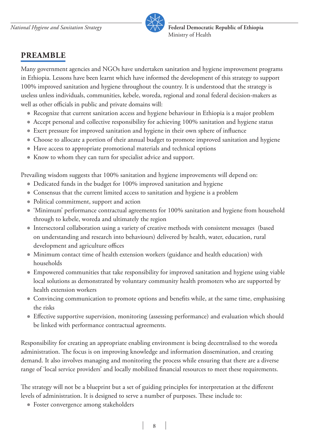

### **Preamble**

Many government agencies and NGOs have undertaken sanitation and hygiene improvement programs in Ethiopia. Lessons have been learnt which have informed the development of this strategy to support 100% improved sanitation and hygiene throughout the country. It is understood that the strategy is useless unless individuals, communities, kebele, woreda, regional and zonal federal decision-makers as well as other officials in public and private domains will:

- $\circ$  Recognize that current sanitation access and hygiene behaviour in Ethiopia is a major problem
- Accept personal and collective responsibility for achieving 100% sanitation and hygiene status ◉
- Exert pressure for improved sanitation and hygiene in their own sphere of influence ◉
- Choose to allocate a portion of their annual budget to promote improved sanitation and hygiene ◉
- Have access to appropriate promotional materials and technical options ◉
- Know to whom they can turn for specialist advice and support. ◉

Prevailing wisdom suggests that 100% sanitation and hygiene improvements will depend on:

- ◎ Dedicated funds in the budget for 100% improved sanitation and hygiene
- Consensus that the current limited access to sanitation and hygiene is a problem ◉
- ◉ Political commitment, support and action
- 'Minimum' performance contractual agreements for 100% sanitation and hygiene from household ◉ through to kebele, woreda and ultimately the region
- Intersectoral collaboration using a variety of creative methods with consistent messages (based ◉ on understanding and research into behaviours) delivered by health, water, education, rural development and agriculture offices
- Minimum contact time of health extension workers (guidance and health education) with ◉ households
- Empowered communities that take responsibility for improved sanitation and hygiene using viable ◉ local solutions as demonstrated by voluntary community health promoters who are supported by health extension workers
- Convincing communication to promote options and benefits while, at the same time, emphasising ◉ the risks
- Effective supportive supervision, monitoring (assessing performance) and evaluation which should ◉ be linked with performance contractual agreements.

Responsibility for creating an appropriate enabling environment is being decentralised to the woreda administration. The focus is on improving knowledge and information dissemination, and creating demand. It also involves managing and monitoring the process while ensuring that there are a diverse range of 'local service providers' and locally mobilized financial resources to meet these requirements.

The strategy will not be a blueprint but a set of guiding principles for interpretation at the different levels of administration. It is designed to serve a number of purposes. These include to:

Foster convergence among stakeholders ◉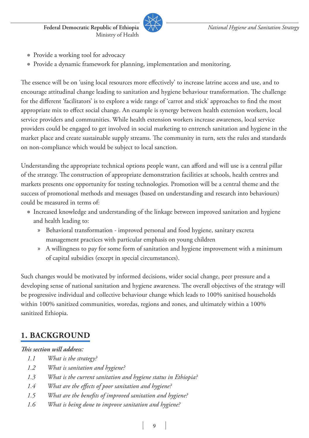Ministry of Health



- Provide a working tool for advocacy ◉
- Provide a dynamic framework for planning, implementation and monitoring. ◉

The essence will be on 'using local resources more effectively' to increase latrine access and use, and to encourage attitudinal change leading to sanitation and hygiene behaviour transformation. The challenge for the different 'facilitators' is to explore a wide range of 'carrot and stick' approaches to find the most appropriate mix to effect social change. An example is synergy between health extension workers, local service providers and communities. While health extension workers increase awareness, local service providers could be engaged to get involved in social marketing to entrench sanitation and hygiene in the market place and create sustainable supply streams. The community in turn, sets the rules and standards on non-compliance which would be subject to local sanction.

Understanding the appropriate technical options people want, can afford and will use is a central pillar of the strategy. The construction of appropriate demonstration facilities at schools, health centres and markets presents one opportunity for testing technologies. Promotion will be a central theme and the success of promotional methods and messages (based on understanding and research into behaviours) could be measured in terms of:

- Increased knowledge and understanding of the linkage between improved sanitation and hygiene ◉ and health leading to:
	- Behavioral transformation improved personal and food hygiene, sanitary excreta » management practices with particular emphasis on young children
	- A willingness to pay for some form of sanitation and hygiene improvement with a minimum »of capital subsidies (except in special circumstances).

Such changes would be motivated by informed decisions, wider social change, peer pressure and a developing sense of national sanitation and hygiene awareness. The overall objectives of the strategy will be progressive individual and collective behaviour change which leads to 100% sanitised households within 100% sanitized communities, woredas, regions and zones, and ultimately within a 100% sanitized Ethiopia.

### **1. Background**

#### *This section will address:*

- *1.1 What is the strategy?*
- *1.2 What is sanitation and hygiene?*
- *1.3 What is the current sanitation and hygiene status in Ethiopia?*
- *1.4 What are the effects of poor sanitation and hygiene?*
- *1.5 What are the benefits of improved sanitation and hygiene?*
- *1.6 What is being done to improve sanitation and hygiene?*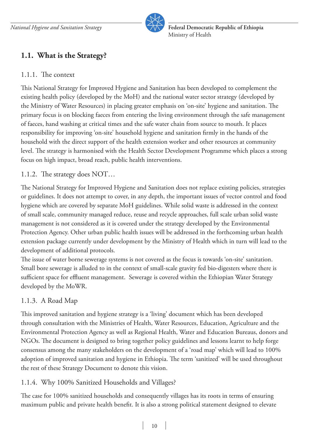

### **1.1. What is the Strategy?**

#### 1.1.1. The context

This National Strategy for Improved Hygiene and Sanitation has been developed to complement the existing health policy (developed by the MoH) and the national water sector strategy (developed by the Ministry of Water Resources) in placing greater emphasis on 'on-site' hygiene and sanitation. The primary focus is on blocking faeces from entering the living environment through the safe management of faeces, hand washing at critical times and the safe water chain from source to mouth. It places responsibility for improving 'on-site' household hygiene and sanitation firmly in the hands of the household with the direct support of the health extension worker and other resources at community level. The strategy is harmonised with the Health Sector Development Programme which places a strong focus on high impact, broad reach, public health interventions.

#### 1.1.2. The strategy does NOT…

The National Strategy for Improved Hygiene and Sanitation does not replace existing policies, strategies or guidelines. It does not attempt to cover, in any depth, the important issues of vector control and food hygiene which are covered by separate MoH guidelines. While solid waste is addressed in the context of small scale, community managed reduce, reuse and recycle approaches, full scale urban solid waste management is not considered as it is covered under the strategy developed by the Environmental Protection Agency. Other urban public health issues will be addressed in the forthcoming urban health extension package currently under development by the Ministry of Health which in turn will lead to the development of additional protocols.

The issue of water borne sewerage systems is not covered as the focus is towards 'on-site' sanitation. Small bore sewerage is alluded to in the context of small-scale gravity fed bio-digesters where there is sufficient space for effluent management. Sewerage is covered within the Ethiopian Water Strategy developed by the MoWR.

### 1.1.3. A Road Map

This improved sanitation and hygiene strategy is a 'living' document which has been developed through consultation with the Ministries of Health, Water Resources, Education, Agriculture and the Environmental Protection Agency as well as Regional Health, Water and Education Bureaus, donors and NGOs. The document is designed to bring together policy guidelines and lessons learnt to help forge consensus among the many stakeholders on the development of a 'road map' which will lead to 100% adoption of improved sanitation and hygiene in Ethiopia. The term 'sanitized' will be used throughout the rest of these Strategy Document to denote this vision.

#### 1.1.4. Why 100% Sanitized Households and Villages?

The case for 100% sanitized households and consequently villages has its roots in terms of ensuring maximum public and private health benefit. It is also a strong political statement designed to elevate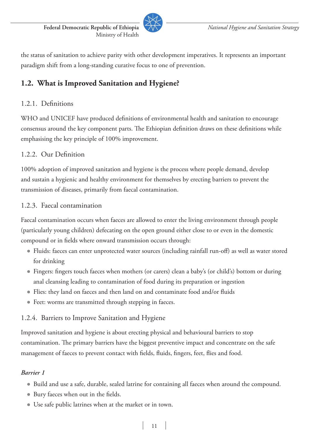**Federal Democratic Republic of Ethiopia** *NA National Hygiene and Sanitation Strategy* Ministry of Health



the status of sanitation to achieve parity with other development imperatives. It represents an important paradigm shift from a long-standing curative focus to one of prevention.

### **1.2. What is Improved Sanitation and Hygiene?**

#### 1.2.1. Definitions

WHO and UNICEF have produced definitions of environmental health and sanitation to encourage consensus around the key component parts. The Ethiopian definition draws on these definitions while emphasising the key principle of 100% improvement.

#### 1.2.2. Our Definition

100% adoption of improved sanitation and hygiene is the process where people demand, develop and sustain a hygienic and healthy environment for themselves by erecting barriers to prevent the transmission of diseases, primarily from faecal contamination.

#### 1.2.3. Faecal contamination

Faecal contamination occurs when faeces are allowed to enter the living environment through people (particularly young children) defecating on the open ground either close to or even in the domestic compound or in fields where onward transmission occurs through:

- Fluids: faeces can enter unprotected water sources (including rainfall run-off) as well as water stored ◉ for drinking
- Fingers: fingers touch faeces when mothers (or carers) clean a baby's (or child's) bottom or during ◉ anal cleansing leading to contamination of food during its preparation or ingestion
- Flies: they land on faeces and then land on and contaminate food and/or fluids ◉
- Feet: worms are transmitted through stepping in faeces. ◉

#### 1.2.4. Barriers to Improve Sanitation and Hygiene

Improved sanitation and hygiene is about erecting physical and behavioural barriers to stop contamination. The primary barriers have the biggest preventive impact and concentrate on the safe management of faeces to prevent contact with fields, fluids, fingers, feet, flies and food.

#### *Barrier 1*

- Build and use a safe, durable, sealed latrine for containing all faeces when around the compound. ◉
- Bury faeces when out in the fields. ◉
- Use safe public latrines when at the market or in town. ◉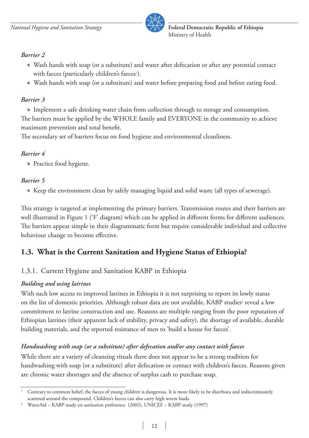

#### *Barrier 2*

- Wash hands with soap (or a substitute) and water after defecation or after any potential contact ◉ with faeces (particularly children's faeces<sup>1</sup>).
- Wash hands with soap (or a substitute) and water before preparing food and before eating food. ◉

#### *Barrier 3*

Implement a safe drinking water chain from collection through to storage and consumption. ◉ The barriers must be applied by the WHOLE family and EVERYONE in the community to achieve maximum prevention and total benefit.

The secondary set of barriers focus on food hygiene and environmental cleanliness.

#### *Barrier 4*

Practice food hygiene. ◉

#### *Barrier 5*

Keep the environment clean by safely managing liquid and solid waste (all types of sewerage). ◉

This strategy is targeted at implementing the primary barriers. Transmission routes and their barriers are well illustrated in Figure 1 ('F' diagram) which can be applied in different forms for different audiences. The barriers appear simple in their diagrammatic form but require considerable individual and collective behaviour change to become effective.

### **1.3. What is the Current Sanitation and Hygiene Status of Ethiopia?**

### 1.3.1. Current Hygiene and Sanitation KABP in Ethiopia

#### *Building and using latrines*

With such low access to improved latrines in Ethiopia it is not surprising to report its lowly status on the list of domestic priorities. Although robust data are not available, KABP studies<sup>2</sup> reveal a low commitment to latrine construction and use. Reasons are multiple ranging from the poor reputation of Ethiopian latrines (their apparent lack of stability, privacy and safety), the shortage of available, durable building materials, and the reported resistance of men to 'build a house for faeces'.

#### *Handwashing with soap (or a substitute) after defecation and/or any contact with faeces*

While there are a variety of cleansing rituals there does not appear to be a strong tradition for handwashing with soap (or a substitute) after defecation or contact with children's faeces. Reasons given are chronic water shortages and the absence of surplus cash to purchase soap.

<sup>1</sup> Contrary to common belief, the faeces of young children is dangerous. It is more likely to be diarrhoea and indiscriminately scattered around the compound. Children's faeces can also carry high worm loads.

<sup>&</sup>lt;sup>2</sup> WaterAid – KABP study on sanitation preference (2003), UNICEF – KABP study (1997)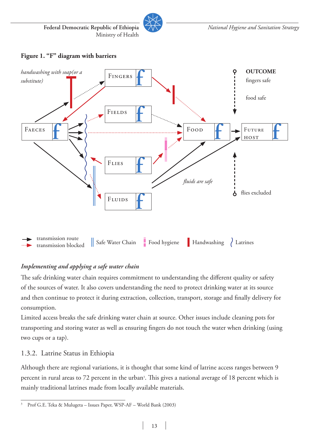**Federal Democratic Republic of Ethiopia** *National Hygiene and Sanitation Strategy* Ministry of Health





#### **Figure 1. "F" diagram with barriers**

 $\parallel$  Safe Water Chain  $\equiv$  Food hygiene Handwashing  $\parallel$  Latrines transmission route transmission blocked

#### *Implementing and applying a safe water chain*

The safe drinking water chain requires commitment to understanding the different quality or safety of the sources of water. It also covers understanding the need to protect drinking water at its source and then continue to protect it during extraction, collection, transport, storage and finally delivery for consumption.

Limited access breaks the safe drinking water chain at source. Other issues include cleaning pots for transporting and storing water as well as ensuring fingers do not touch the water when drinking (using two cups or a tap).

#### 1.3.2. Latrine Status in Ethiopia

Although there are regional variations, it is thought that some kind of latrine access ranges between 9 percent in rural areas to 72 percent in the urban3 . This gives a national average of 18 percent which is mainly traditional latrines made from locally available materials.

<sup>3</sup> Prof G.E. Teka & Mulugeta – Issues Paper, WSP-AF – World Bank (2003)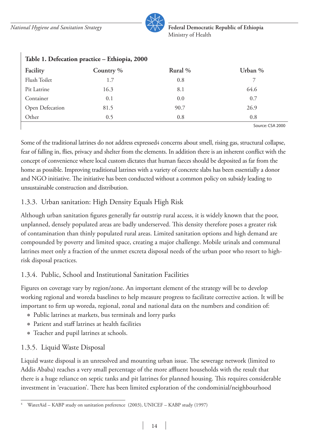

*National Hygiene and Sanitation Strategy* **Federal Democratic Republic of Ethiopia** Ministry of Health

| Table 1. Defecation practice – Ethiopia, 2000 |           |         |                   |
|-----------------------------------------------|-----------|---------|-------------------|
| Facility                                      | Country % | Rural % | Urban %           |
| Flush Toilet                                  | 1.7       | 0.8     |                   |
| Pit Latrine                                   | 16.3      | 8.1     | 64.6              |
| Container                                     | 0.1       | 0.0     | 0.7               |
| Open Defecation                               | 81.5      | 90.7    | 26.9              |
| Other                                         | 0.5       | 0.8     | 0.8               |
|                                               |           |         | -------<br>$\sim$ |

Source: CSA 2000

Some of the traditional latrines do not address expressed4 concerns about smell, rising gas, structural collapse, fear of falling in, flies, privacy and shelter from the elements. In addition there is an inherent conflict with the concept of convenience where local custom dictates that human faeces should be deposited as far from the home as possible. Improving traditional latrines with a variety of concrete slabs has been essentially a donor and NGO initiative. The initiative has been conducted without a common policy on subsidy leading to unsustainable construction and distribution.

#### 1.3.3. Urban sanitation: High Density Equals High Risk

Although urban sanitation figures generally far outstrip rural access, it is widely known that the poor, unplanned, densely populated areas are badly underserved. This density therefore poses a greater risk of contamination than thinly populated rural areas. Limited sanitation options and high demand are compounded by poverty and limited space, creating a major challenge. Mobile urinals and communal latrines meet only a fraction of the unmet excreta disposal needs of the urban poor who resort to highrisk disposal practices.

#### 1.3.4. Public, School and Institutional Sanitation Facilities

Figures on coverage vary by region/zone. An important element of the strategy will be to develop working regional and woreda baselines to help measure progress to facilitate corrective action. It will be important to firm up woreda, regional, zonal and national data on the numbers and condition of:

- Public latrines at markets, bus terminals and lorry parks ◉
- Patient and staff latrines at health facilities ◉
- Teacher and pupil latrines at schools. ◉

#### 1.3.5. Liquid Waste Disposal

Liquid waste disposal is an unresolved and mounting urban issue. The sewerage network (limited to Addis Ababa) reaches a very small percentage of the more affluent households with the result that there is a huge reliance on septic tanks and pit latrines for planned housing. This requires considerable investment in 'evacuation'. There has been limited exploration of the condominial/neighbourhood

<sup>4</sup> WaterAid – KABP study on sanitation preference (2003), UNICEF – KABP study (1997)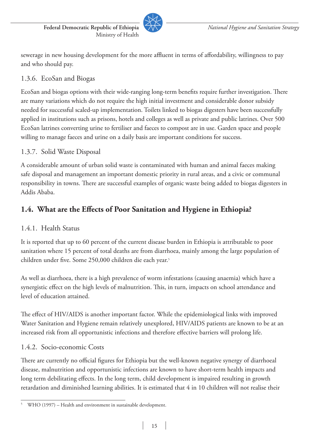**Federal Democratic Republic of Ethiopia AN** National Hygiene and Sanitation Strategy Ministry of Health



sewerage in new housing development for the more affluent in terms of affordability, willingness to pay and who should pay.

#### 1.3.6. EcoSan and Biogas

EcoSan and biogas options with their wide-ranging long-term benefits require further investigation. There are many variations which do not require the high initial investment and considerable donor subsidy needed for successful scaled-up implementation. Toilets linked to biogas digesters have been successfully applied in institutions such as prisons, hotels and colleges as well as private and public latrines. Over 500 EcoSan latrines converting urine to fertiliser and faeces to compost are in use. Garden space and people willing to manage faeces and urine on a daily basis are important conditions for success.

#### 1.3.7. Solid Waste Disposal

A considerable amount of urban solid waste is contaminated with human and animal faeces making safe disposal and management an important domestic priority in rural areas, and a civic or communal responsibility in towns. There are successful examples of organic waste being added to biogas digesters in Addis Ababa.

### **1.4. What are the Effects of Poor Sanitation and Hygiene in Ethiopia?**

#### 1.4.1. Health Status

It is reported that up to 60 percent of the current disease burden in Ethiopia is attributable to poor sanitation where 15 percent of total deaths are from diarrhoea, mainly among the large population of children under five. Some 250,000 children die each year.5

As well as diarrhoea, there is a high prevalence of worm infestations (causing anaemia) which have a synergistic effect on the high levels of malnutrition. This, in turn, impacts on school attendance and level of education attained.

The effect of HIV/AIDS is another important factor. While the epidemiological links with improved Water Sanitation and Hygiene remain relatively unexplored, HIV/AIDS patients are known to be at an increased risk from all opportunistic infections and therefore effective barriers will prolong life.

#### 1.4.2. Socio-economic Costs

There are currently no official figures for Ethiopia but the well-known negative synergy of diarrhoeal disease, malnutrition and opportunistic infections are known to have short-term health impacts and long term debilitating effects. In the long term, child development is impaired resulting in growth retardation and diminished learning abilities. It is estimated that 4 in 10 children will not realise their

WHO (1997) – Health and environment in sustainable development.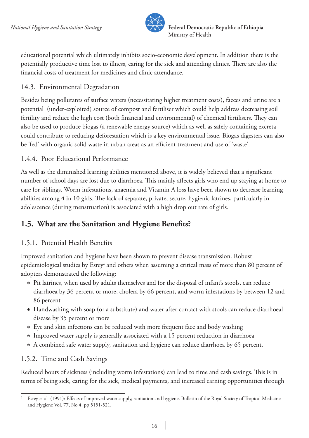

educational potential which ultimately inhibits socio-economic development. In addition there is the potentially productive time lost to illness, caring for the sick and attending clinics. There are also the financial costs of treatment for medicines and clinic attendance.

#### 14.3. Environmental Degradation

Besides being pollutants of surface waters (necessitating higher treatment costs), faeces and urine are a potential (under-exploited) source of compost and fertiliser which could help address decreasing soil fertility and reduce the high cost (both financial and environmental) of chemical fertilisers. They can also be used to produce biogas (a renewable energy source) which as well as safely containing excreta could contribute to reducing deforestation which is a key environmental issue. Biogas digesters can also be 'fed' with organic solid waste in urban areas as an efficient treatment and use of 'waste'.

### 1.4.4. Poor Educational Performance

As well as the diminished learning abilities mentioned above, it is widely believed that a significant number of school days are lost due to diarrhoea. This mainly affects girls who end up staying at home to care for siblings. Worm infestations, anaemia and Vitamin A loss have been shown to decrease learning abilities among 4 in 10 girls. The lack of separate, private, secure, hygienic latrines, particularly in adolescence (during menstruation) is associated with a high drop out rate of girls.

### **1.5. What are the Sanitation and Hygiene Benefits?**

#### 1.5.1. Potential Health Benefits

Improved sanitation and hygiene have been shown to prevent disease transmission. Robust epidemiological studies by Esrey<sup>6</sup> and others when assuming a critical mass of more than 80 percent of adopters demonstrated the following:

- $\bullet$  Pit latrines, when used by adults themselves and for the disposal of infant's stools, can reduce diarrhoea by 36 percent or more, cholera by 66 percent, and worm infestations by between 12 and 86 percent
- Handwashing with soap (or a substitute) and water after contact with stools can reduce diarrhoeal ◉ disease by 35 percent or more
- Eye and skin infections can be reduced with more frequent face and body washing ◉
- Improved water supply is generally associated with a 15 percent reduction in diarrhoea ◉
- A combined safe water supply, sanitation and hygiene can reduce diarrhoea by 65 percent. ◉

### 1.5.2. Time and Cash Savings

Reduced bouts of sickness (including worm infestations) can lead to time and cash savings. This is in terms of being sick, caring for the sick, medical payments, and increased earning opportunities through

<sup>6</sup> Esrey et al (1991): Effects of improved water supply, sanitation and hygiene. Bulletin of the Royal Society of Tropical Medicine and Hygiene Vol. 77, No 4, pp 5151-521.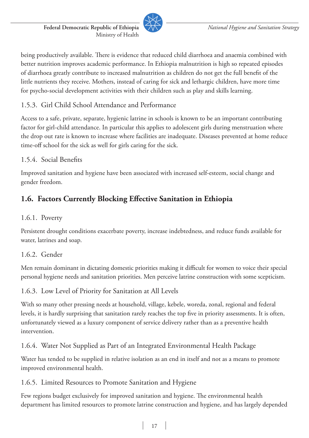**Federal Democratic Republic of Ethiopia AN** National Hygiene and Sanitation Strategy Ministry of Health



being productively available. There is evidence that reduced child diarrhoea and anaemia combined with better nutrition improves academic performance. In Ethiopia malnutrition is high so repeated episodes of diarrhoea greatly contribute to increased malnutrition as children do not get the full benefit of the little nutrients they receive. Mothers, instead of caring for sick and lethargic children, have more time for psycho-social development activities with their children such as play and skills learning.

#### 1.5.3. Girl Child School Attendance and Performance

Access to a safe, private, separate, hygienic latrine in schools is known to be an important contributing factor for girl-child attendance. In particular this applies to adolescent girls during menstruation where the drop out rate is known to increase where facilities are inadequate. Diseases prevented at home reduce time-off school for the sick as well for girls caring for the sick.

#### 1.5.4. Social Benefits

Improved sanitation and hygiene have been associated with increased self-esteem, social change and gender freedom.

### **1.6. Factors Currently Blocking Effective Sanitation in Ethiopia**

#### 1.6.1. Poverty

Persistent drought conditions exacerbate poverty, increase indebtedness, and reduce funds available for water, latrines and soap.

#### 1.6.2. Gender

Men remain dominant in dictating domestic priorities making it difficult for women to voice their special personal hygiene needs and sanitation priorities. Men perceive latrine construction with some scepticism.

#### 1.6.3. Low Level of Priority for Sanitation at All Levels

With so many other pressing needs at household, village, kebele, woreda, zonal, regional and federal levels, it is hardly surprising that sanitation rarely reaches the top five in priority assessments. It is often, unfortunately viewed as a luxury component of service delivery rather than as a preventive health intervention.

1.6.4. Water Not Supplied as Part of an Integrated Environmental Health Package

Water has tended to be supplied in relative isolation as an end in itself and not as a means to promote improved environmental health.

#### 1.6.5. Limited Resources to Promote Sanitation and Hygiene

Few regions budget exclusively for improved sanitation and hygiene. The environmental health department has limited resources to promote latrine construction and hygiene, and has largely depended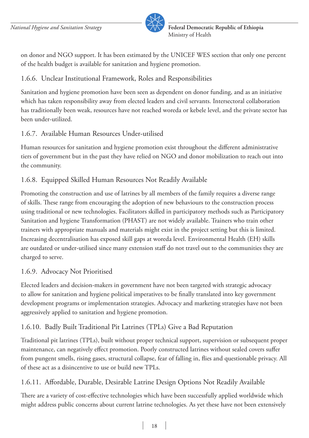

on donor and NGO support. It has been estimated by the UNICEF WES section that only one percent of the health budget is available for sanitation and hygiene promotion.

#### 1.6.6. Unclear Institutional Framework, Roles and Responsibilities

Sanitation and hygiene promotion have been seen as dependent on donor funding, and as an initiative which has taken responsibility away from elected leaders and civil servants. Intersectoral collaboration has traditionally been weak, resources have not reached woreda or kebele level, and the private sector has been under-utilized.

#### 1.6.7. Available Human Resources Under-utilised

Human resources for sanitation and hygiene promotion exist throughout the different administrative tiers of government but in the past they have relied on NGO and donor mobilization to reach out into the community.

#### 1.6.8. Equipped Skilled Human Resources Not Readily Available

Promoting the construction and use of latrines by all members of the family requires a diverse range of skills. These range from encouraging the adoption of new behaviours to the construction process using traditional or new technologies. Facilitators skilled in participatory methods such as Participatory Sanitation and hygiene Transformation (PHAST) are not widely available. Trainers who train other trainers with appropriate manuals and materials might exist in the project setting but this is limited. Increasing decentralisation has exposed skill gaps at woreda level. Environmental Health (EH) skills are outdated or under-utilised since many extension staff do not travel out to the communities they are charged to serve.

#### 1.6.9. Advocacy Not Prioritised

Elected leaders and decision-makers in government have not been targeted with strategic advocacy to allow for sanitation and hygiene political imperatives to be finally translated into key government development programs or implementation strategies. Advocacy and marketing strategies have not been aggressively applied to sanitation and hygiene promotion.

#### 1.6.10. Badly Built Traditional Pit Latrines (TPLs) Give a Bad Reputation

Traditional pit latrines (TPLs), built without proper technical support, supervision or subsequent proper maintenance, can negatively effect promotion. Poorly constructed latrines without sealed covers suffer from pungent smells, rising gases, structural collapse, fear of falling in, flies and questionable privacy. All of these act as a disincentive to use or build new TPLs.

#### 1.6.11. Affordable, Durable, Desirable Latrine Design Options Not Readily Available

There are a variety of cost-effective technologies which have been successfully applied worldwide which might address public concerns about current latrine technologies. As yet these have not been extensively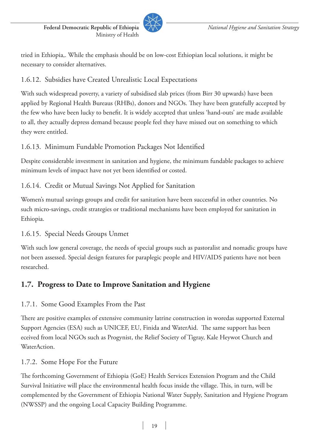Ministry of Health



tried in Ethiopia,. While the emphasis should be on low-cost Ethiopian local solutions, it might be necessary to consider alternatives.

1.6.12. Subsidies have Created Unrealistic Local Expectations

With such widespread poverty, a variety of subsidised slab prices (from Birr 30 upwards) have been applied by Regional Health Bureaus (RHBs), donors and NGOs. They have been gratefully accepted by the few who have been lucky to benefit. It is widely accepted that unless 'hand-outs' are made available to all, they actually depress demand because people feel they have missed out on something to which they were entitled.

#### 1.6.13. Minimum Fundable Promotion Packages Not Identified

Despite considerable investment in sanitation and hygiene, the minimum fundable packages to achieve minimum levels of impact have not yet been identified or costed.

1.6.14. Credit or Mutual Savings Not Applied for Sanitation

Women's mutual savings groups and credit for sanitation have been successful in other countries. No such micro-savings, credit strategies or traditional mechanisms have been employed for sanitation in Ethiopia.

1.6.15. Special Needs Groups Unmet

With such low general coverage, the needs of special groups such as pastoralist and nomadic groups have not been assessed. Special design features for paraplegic people and HIV/AIDS patients have not been researched.

### **1.7. Progress to Date to Improve Sanitation and Hygiene**

1.7.1. Some Good Examples From the Past

There are positive examples of extensive community latrine construction in woredas supported External Support Agencies (ESA) such as UNICEF, EU, Finida and WaterAid. The same support has been eceived from local NGOs such as Progynist, the Relief Society of Tigray, Kale Heywot Church and WaterAction

1.7.2. Some Hope For the Future

The forthcoming Government of Ethiopia (GoE) Health Services Extension Program and the Child Survival Initiative will place the environmental health focus inside the village. This, in turn, will be complemented by the Government of Ethiopia National Water Supply, Sanitation and Hygiene Program (NWSSP) and the ongoing Local Capacity Building Programme.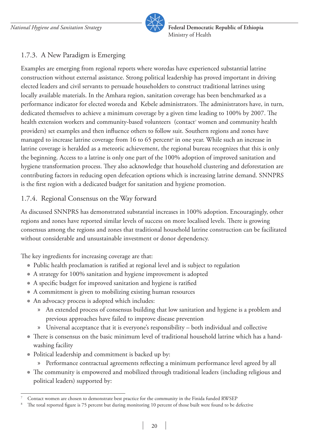

*National Hygiene and Sanitation Strategy* **Federal Democratic Republic of Ethiopia** Ministry of Health

### 1.7.3. A New Paradigm is Emerging

Examples are emerging from regional reports where woredas have experienced substantial latrine construction without external assistance. Strong political leadership has proved important in driving elected leaders and civil servants to persuade householders to construct traditional latrines using locally available materials. In the Amhara region, sanitation coverage has been benchmarked as a performance indicator for elected woreda and Kebele administrators. The administrators have, in turn, dedicated themselves to achieve a minimum coverage by a given time leading to 100% by 2007. The health extension workers and community-based volunteers (contact<sup>7</sup> women and community health providers) set examples and then influence others to follow suit. Southern regions and zones have managed to increase latrine coverage from 16 to 65 percent<sup>8</sup> in one year. While such an increase in latrine coverage is heralded as a meteoric achievement, the regional bureau recognizes that this is only the beginning. Access to a latrine is only one part of the 100% adoption of improved sanitation and hygiene transformation process. They also acknowledge that household clustering and deforestation are contributing factors in reducing open defecation options which is increasing latrine demand. SNNPRS is the first region with a dedicated budget for sanitation and hygiene promotion.

#### 1.7.4. Regional Consensus on the Way forward

As discussed SNNPRS has demonstrated substantial increases in 100% adoption. Encouragingly, other regions and zones have reported similar levels of success on more localised levels. There is growing consensus among the regions and zones that traditional household latrine construction can be facilitated without considerable and unsustainable investment or donor dependency.

The key ingredients for increasing coverage are that:

- Public health proclamation is ratified at regional level and is subject to regulation ◉
- A strategy for 100% sanitation and hygiene improvement is adopted ◉
- A specific budget for improved sanitation and hygiene is ratified ◉
- A commitment is given to mobilizing existing human resources ◉
- An advocacy process is adopted which includes: ◉
	- An extended process of consensus building that low sanitation and hygiene is a problem and » previous approaches have failed to improve disease prevention
	- Universal acceptance that it is everyone's responsibility both individual and collective »
- There is consensus on the basic minimum level of traditional household latrine which has a hand-◉ washing facility
- Political leadership and commitment is backed up by: ◉
	- Performance contractual agreements reflecting a minimum performance level agreed by all »
- The community is empowered and mobilized through traditional leaders (including religious and ◉political leaders) supported by:

<sup>7</sup> Contact women are chosen to demonstrate best practice for the community in the Finida funded RWSEP

The total reported figure is 75 percent but during monitoring 10 percent of those built were found to be defective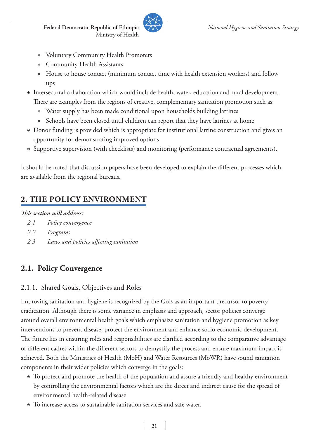Ministry of Health



- Voluntary Community Health Promoters »
- Community Health Assistants »
- House to house contact (minimum contact time with health extension workers) and follow » ups
- Intersectoral collaboration which would include health, water, education and rural development. ◉ There are examples from the regions of creative, complementary sanitation promotion such as:
	- Water supply has been made conditional upon households building latrines »
	- » Schools have been closed until children can report that they have latrines at home
- $\bullet$  Donor funding is provided which is appropriate for institutional latrine construction and gives an opportunity for demonstrating improved options
- Supportive supervision (with checklists) and monitoring (performance contractual agreements). ◉

It should be noted that discussion papers have been developed to explain the different processes which are available from the regional bureaus.

### **2. the policy environment**

#### *This section will address:*

- *2.1 Policy convergence*
- *2.2 Programs*
- *2.3 Laws and policies affecting sanitation*

### **2.1. Policy Convergence**

#### 2.1.1. Shared Goals, Objectives and Roles

Improving sanitation and hygiene is recognized by the GoE as an important precursor to poverty eradication. Although there is some variance in emphasis and approach, sector policies converge around overall environmental health goals which emphasize sanitation and hygiene promotion as key interventions to prevent disease, protect the environment and enhance socio-economic development. The future lies in ensuring roles and responsibilities are clarified according to the comparative advantage of different cadres within the different sectors to demystify the process and ensure maximum impact is achieved. Both the Ministries of Health (MoH) and Water Resources (MoWR) have sound sanitation components in their wider policies which converge in the goals:

- To protect and promote the health of the population and assure a friendly and healthy environment ◉ by controlling the environmental factors which are the direct and indirect cause for the spread of environmental health-related disease
- To increase access to sustainable sanitation services and safe water. ◉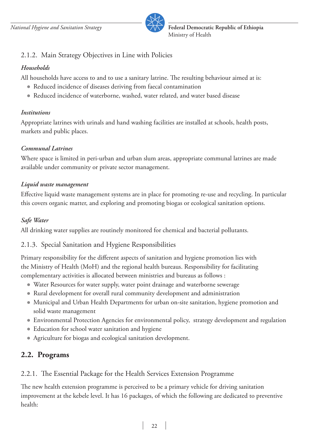

#### 2.1.2. Main Strategy Objectives in Line with Policies

#### *Households*

All households have access to and to use a sanitary latrine. The resulting behaviour aimed at is:

- ◉ Reduced incidence of diseases deriving from faecal contamination
- Reduced incidence of waterborne, washed, water related, and water based disease ◉

#### *Institutions*

Appropriate latrines with urinals and hand washing facilities are installed at schools, health posts, markets and public places.

#### *Communal Latrines*

Where space is limited in peri-urban and urban slum areas, appropriate communal latrines are made available under community or private sector management.

#### *Liquid waste management*

Effective liquid waste management systems are in place for promoting re-use and recycling. In particular this covers organic matter, and exploring and promoting biogas or ecological sanitation options.

#### *Safe Water*

All drinking water supplies are routinely monitored for chemical and bacterial pollutants.

#### 2.1.3. Special Sanitation and Hygiene Responsibilities

Primary responsibility for the different aspects of sanitation and hygiene promotion lies with the Ministry of Health (MoH) and the regional health bureaus. Responsibility for facilitating complementary activities is allocated between ministries and bureaus as follows :

- Water Resources for water supply, water point drainage and waterborne sewerage ◉
- Rural development for overall rural community development and administration ◉
- Municipal and Urban Health Departments for urban on-site sanitation, hygiene promotion and ◉ solid waste management
- Environmental Protection Agencies for environmental policy, strategy development and regulation ◉
- Education for school water sanitation and hygiene ◉
- Agriculture for biogas and ecological sanitation development. ◉

### **2.2. Programs**

2.2.1. The Essential Package for the Health Services Extension Programme

The new health extension programme is perceived to be a primary vehicle for driving sanitation improvement at the kebele level. It has 16 packages, of which the following are dedicated to preventive health: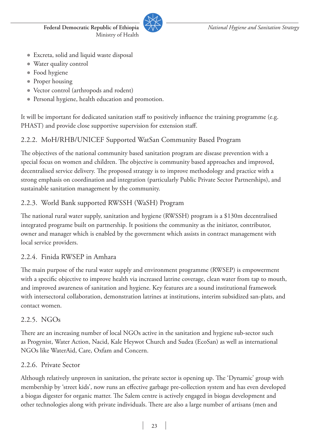Ministry of Health



**Federal Democratic Republic of Ethiopia** *National Hygiene and Sanitation Strategy*

- Excreta, solid and liquid waste disposal ◉
- Water quality control ◉
- Food hygiene ◉
- Proper housing ◉
- Vector control (arthropods and rodent) ◉
- Personal hygiene, health education and promotion. ◉

It will be important for dedicated sanitation staff to positively influence the training programme (e.g. PHAST) and provide close supportive supervision for extension staff.

#### 2.2.2. MoH/RHB/UNICEF Supported WatSan Community Based Program

The objectives of the national community based sanitation program are disease prevention with a special focus on women and children. The objective is community based approaches and improved, decentralised service delivery. The proposed strategy is to improve methodology and practice with a strong emphasis on coordination and integration (particularly Public Private Sector Partnerships), and sustainable sanitation management by the community.

#### 2.2.3. World Bank supported RWSSH (WaSH) Program

The national rural water supply, sanitation and hygiene (RWSSH) program is a \$130m decentralised integrated programe built on partnership. It positions the community as the initiator, contributor, owner and manager which is enabled by the government which assists in contract management with local service providers.

#### 2.2.4. Finida RWSEP in Amhara

The main purpose of the rural water supply and environment programme (RWSEP) is empowerment with a specific objective to improve health via increased latrine coverage, clean water from tap to mouth, and improved awareness of sanitation and hygiene. Key features are a sound institutional framework with intersectoral collaboration, demonstration latrines at institutions, interim subsidized san-plats, and contact women.

#### 2.2.5. NGOs

There are an increasing number of local NGOs active in the sanitation and hygiene sub-sector such as Progynist, Water Action, Nacid, Kale Heywot Church and Sudea (EcoSan) as well as international NGOs like WaterAid, Care, Oxfam and Concern.

#### 2.2.6. Private Sector

Although relatively unproven in sanitation, the private sector is opening up. The 'Dynamic' group with membership by 'street kids', now runs an effective garbage pre-collection system and has even developed a biogas digester for organic matter. The Salem centre is actively engaged in biogas development and other technologies along with private individuals. There are also a large number of artisans (men and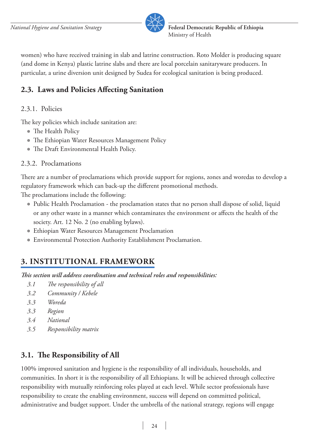

women) who have received training in slab and latrine construction. Roto Molder is producing square (and dome in Kenya) plastic latrine slabs and there are local porcelain sanitaryware producers. In particular, a urine diversion unit designed by Sudea for ecological sanitation is being produced.

### **2.3. Laws and Policies Affecting Sanitation**

#### 2.3.1. Policies

The key policies which include sanitation are:

- The Health Policy ◉
- The Ethiopian Water Resources Management Policy ◉
- The Draft Environmental Health Policy. ◉

#### 2.3.2. Proclamations

There are a number of proclamations which provide support for regions, zones and woredas to develop a regulatory framework which can back-up the different promotional methods.

The proclamations include the following:

- Public Health Proclamation the proclamation states that no person shall dispose of solid, liquid ◉ or any other waste in a manner which contaminates the environment or affects the health of the society. Art. 12 No. 2 (no enabling bylaws).
- Ethiopian Water Resources Management Proclamation ◉
- Environmental Protection Authority Establishment Proclamation. ◉

### **3. Institutional framework**

*This section will address coordination and technical roles and responsibilities:*

- *3.1 The responsibility of all*
- *3.2 Community / Kebele*
- *3.3 Woreda*
- *3.3 Region*
- *3.4 National*
- *3.5 Responsibility matrix*

### **3.1. The Responsibility of All**

100% improved sanitation and hygiene is the responsibility of all individuals, households, and communities. In short it is the responsibility of all Ethiopians. It will be achieved through collective responsibility with mutually reinforcing roles played at each level. While sector professionals have responsibility to create the enabling environment, success will depend on committed political, administrative and budget support. Under the umbrella of the national strategy, regions will engage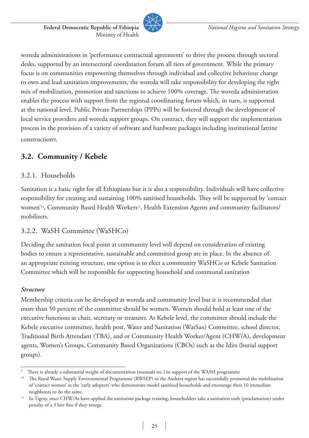

woreda administrations in 'performance contractual agreements' to drive the process through sectoral desks, supported by an intersectoral coordination forum all tiers of government. While the primary focus is on communities empowering themselves through individual and collective behaviour change to own and lead sanitation improvements, the woreda will take responsibility for developing the right mix of mobilization, promotion and sanctions to achieve 100% coverage. The woreda administration enables the process with support from the regional coordinating forum which, in turn, is supported at the national level. Public Private Partnerships (PPPs) will be fostered through the development of local service providers and woreda support groups. On contract, they will support the implementation process in the provision of a variety of software and hardware packages including institutional latrine construction9.

### **3.2. Community / Kebele**

#### 3.2.1. Households

Sanitation is a basic right for all Ethiopians but it is also a responsibility. Individuals will have collective responsibility for creating and sustaining 100% sanitised households. They will be supported by 'contact women'<sup>10</sup>, Community Based Health Workers<sup>11</sup>, Health Extension Agents and community facilitators/ mobilizers.

#### 3.2.2. WaSH Committee (WaSHCo)

Deciding the sanitation focal point at community level will depend on consideration of existing bodies to ensure a representative, sustainable and committed group are in place. In the absence of an appropriate existing structure, one option is to elect a community WaSHCo or Kebele Sanitation Committee which will be responsible for supporting household and communal sanitation

#### *Structure*

Membership criteria can be developed at woreda and community level but it is recommended that more than 50 percent of the committee should be women. Women should hold at least one of the executive functions as chair, secretary or treasurer. At Kebele level, the committee should include the Kebele executive committee, health post, Water and Sanitation (WatSan) Committee, school director, Traditional Birth Attendant (TBA), and or Community Health Worker/Agent (CHW/A), development agents, Women's Groups, Community Based Organizations (CBOs) such as the Idirs (burial support groups).

There is already a substantial weight of documentation (manuals etc.) in support of the WASH programme

<sup>10</sup> The Rural Water Supply Environmental Programme (RWSEP) in the Amhara region has successfully promoted the mobilisation of 'contact women' as the 'early adopters' who demonstrate model sanitized households and encourage their 10 immediate neighbours to do the same.

<sup>&</sup>lt;sup>11</sup> In Tigray, once CHW/As have applied the sanitation package training, householders take a sanitation oath (proclamation) under penalty of a 3 birr fine if they renege.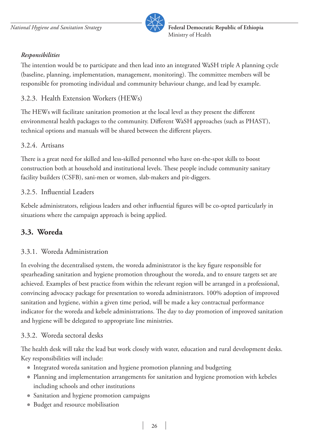#### *Responsibilities*

The intention would be to participate and then lead into an integrated WaSH triple A planning cycle (baseline, planning, implementation, management, monitoring). The committee members will be responsible for promoting individual and community behaviour change, and lead by example.

#### 3.2.3. Health Extension Workers (HEWs)

The HEWs will facilitate sanitation promotion at the local level as they present the different environmental health packages to the community. Different WaSH approaches (such as PHAST), technical options and manuals will be shared between the different players.

#### 3.2.4. Artisans

There is a great need for skilled and less-skilled personnel who have on-the-spot skills to boost construction both at household and institutional levels. These people include community sanitary facility builders (CSFB), sani-men or women, slab-makers and pit-diggers.

#### 3.2.5. Influential Leaders

Kebele administrators, religious leaders and other influential figures will be co-opted particularly in situations where the campaign approach is being applied.

### **3.3. Woreda**

#### 3.3.1. Woreda Administration

In evolving the decentralised system, the woreda administrator is the key figure responsible for spearheading sanitation and hygiene promotion throughout the woreda, and to ensure targets set are achieved. Examples of best practice from within the relevant region will be arranged in a professional, convincing advocacy package for presentation to woreda administrators. 100% adoption of improved sanitation and hygiene, within a given time period, will be made a key contractual performance indicator for the woreda and kebele administrations. The day to day promotion of improved sanitation and hygiene will be delegated to appropriate line ministries.

#### 3.3.2. Woreda sectoral desks

The health desk will take the lead but work closely with water, education and rural development desks. Key responsibilities will include:

- Integrated woreda sanitation and hygiene promotion planning and budgeting ◉
- Planning and implementation arrangements for sanitation and hygiene promotion with kebeles ◉ including schools and other institutions
- Sanitation and hygiene promotion campaigns ◉
- Budget and resource mobilisation ◉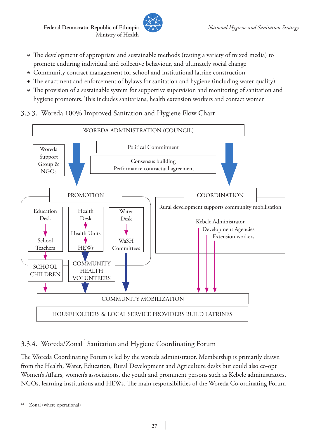Ministry of Health



- $\bullet$  The development of appropriate and sustainable methods (testing a variety of mixed media) to promote enduring individual and collective behaviour, and ultimately social change
- Community contract management for school and institutional latrine construction ◉
- The enactment and enforcement of bylaws for sanitation and hygiene (including water quality) ◉
- The provision of a sustainable system for supportive supervision and monitoring of sanitation and ◉ hygiene promoters. This includes sanitarians, health extension workers and contact women

#### 3.3.3. Woreda 100% Improved Sanitation and Hygiene Flow Chart



### 3.3.4. Woreda/Zonal <sup>2</sup> Sanitation and Hygiene Coordinating Forum

The Woreda Coordinating Forum is led by the woreda administrator. Membership is primarily drawn from the Health, Water, Education, Rural Development and Agriculture desks but could also co-opt Women's Affairs, women's associations, the youth and prominent persons such as Kebele administrators, NGOs, learning institutions and HEWs. The main responsibilities of the Woreda Co-ordinating Forum

<sup>&</sup>lt;sup>12</sup> Zonal (where operational)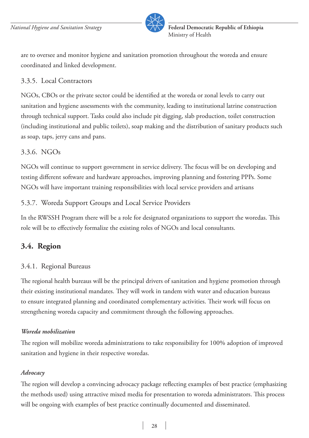

are to oversee and monitor hygiene and sanitation promotion throughout the woreda and ensure coordinated and linked development.

#### 3.3.5. Local Contractors

NGOs, CBOs or the private sector could be identified at the woreda or zonal levels to carry out sanitation and hygiene assessments with the community, leading to institutional latrine construction through technical support. Tasks could also include pit digging, slab production, toilet construction (including institutional and public toilets), soap making and the distribution of sanitary products such as soap, taps, jerry cans and pans.

#### 3.3.6. NGOs

NGOs will continue to support government in service delivery. The focus will be on developing and testing different software and hardware approaches, improving planning and fostering PPPs. Some NGOs will have important training responsibilities with local service providers and artisans

#### 5.3.7. Woreda Support Groups and Local Service Providers

In the RWSSH Program there will be a role for designated organizations to support the woredas. This role will be to effectively formalize the existing roles of NGOs and local consultants.

### **3.4. Region**

#### 3.4.1. Regional Bureaus

The regional health bureaus will be the principal drivers of sanitation and hygiene promotion through their existing institutional mandates. They will work in tandem with water and education bureaus to ensure integrated planning and coordinated complementary activities. Their work will focus on strengthening woreda capacity and commitment through the following approaches.

#### *Woreda mobilization*

The region will mobilize woreda administrations to take responsibility for 100% adoption of improved sanitation and hygiene in their respective woredas.

#### *Advocacy*

The region will develop a convincing advocacy package reflecting examples of best practice (emphasizing the methods used) using attractive mixed media for presentation to woreda administrators. This process will be ongoing with examples of best practice continually documented and disseminated.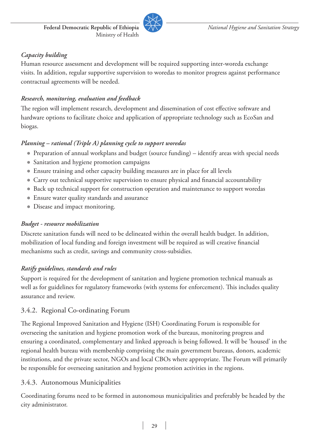**Federal Democratic Republic of Ethiopia AN** National Hygiene and Sanitation Strategy Ministry of Health



#### *Capacity building*

Human resource assessment and development will be required supporting inter-woreda exchange visits. In addition, regular supportive supervision to woredas to monitor progress against performance contractual agreements will be needed.

#### *Research, monitoring, evaluation and feedback*

The region will implement research, development and dissemination of cost effective software and hardware options to facilitate choice and application of appropriate technology such as EcoSan and biogas.

#### *Planning – rational (Triple A) planning cycle to support woredas*

- Preparation of annual workplans and budget (source funding) identify areas with special needs ◉
- ◉ Sanitation and hygiene promotion campaigns
- Ensure training and other capacity building measures are in place for all levels ◉
- Carry out technical supportive supervision to ensure physical and financial accountability ◉
- Back up technical support for construction operation and maintenance to support woredas ◉
- Ensure water quality standards and assurance ◉
- Disease and impact monitoring. ◉

#### *Budget - resource mobilization*

Discrete sanitation funds will need to be delineated within the overall health budget. In addition, mobilization of local funding and foreign investment will be required as will creative financial mechanisms such as credit, savings and community cross-subsidies.

#### *Ratify guidelines, standards and rules*

Support is required for the development of sanitation and hygiene promotion technical manuals as well as for guidelines for regulatory frameworks (with systems for enforcement). This includes quality assurance and review.

#### 3.4.2. Regional Co-ordinating Forum

The Regional Improved Sanitation and Hygiene (ISH) Coordinating Forum is responsible for overseeing the sanitation and hygiene promotion work of the bureaus, monitoring progress and ensuring a coordinated, complementary and linked approach is being followed. It will be 'housed' in the regional health bureau with membership comprising the main government bureaus, donors, academic institutions, and the private sector, NGOs and local CBOs where appropriate. The Forum will primarily be responsible for overseeing sanitation and hygiene promotion activities in the regions.

#### 3.4.3. Autonomous Municipalities

Coordinating forums need to be formed in autonomous municipalities and preferably be headed by the city administrator.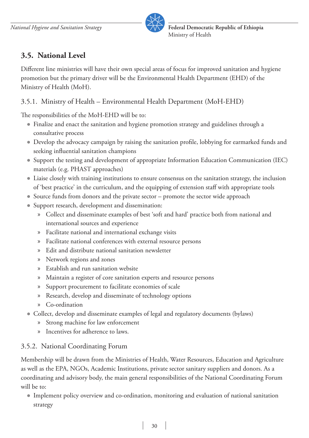

### **3.5. National Level**

Different line ministries will have their own special areas of focus for improved sanitation and hygiene promotion but the primary driver will be the Environmental Health Department (EHD) of the Ministry of Health (MoH).

### 3.5.1. Ministry of Health – Environmental Health Department (MoH-EHD)

The responsibilities of the MoH-EHD will be to:

- $\bullet\,$  Finalize and enact the sanitation and hygiene promotion strategy and guidelines through a consultative process
- Develop the advocacy campaign by raising the sanitation profile, lobbying for earmarked funds and ◉ seeking influential sanitation champions
- $\bullet$  Support the testing and development of appropriate Information Education Communication (IEC) materials (e.g. PHAST approaches)
- Liaise closely with training institutions to ensure consensus on the sanitation strategy, the inclusion ◉ of 'best practice' in the curriculum, and the equipping of extension staff with appropriate tools
- ◉ Source funds from donors and the private sector promote the sector wide approach
- Support research, development and dissemination: ◉
	- Collect and disseminate examples of best 'soft and hard' practice both from national and » international sources and experience
	- Facilitate national and international exchange visits »
	- Facilitate national conferences with external resource persons »
	- Edit and distribute national sanitation newsletter »
	- Network regions and zones »
	- Establish and run sanitation website »
	- Maintain a register of core sanitation experts and resource persons »
	- » Support procurement to facilitate economies of scale
	- » Research, develop and disseminate of technology options
	- Co-ordination »
- Collect, develop and disseminate examples of legal and regulatory documents (bylaws) ◉
	- Strong machine for law enforcement »
	- » Incentives for adherence to laws.

#### 3.5.2. National Coordinating Forum

Membership will be drawn from the Ministries of Health, Water Resources, Education and Agriculture as well as the EPA, NGOs, Academic Institutions, private sector sanitary suppliers and donors. As a coordinating and advisory body, the main general responsibilities of the National Coordinating Forum will be to:

Implement policy overview and co-ordination, monitoring and evaluation of national sanitation ◉strategy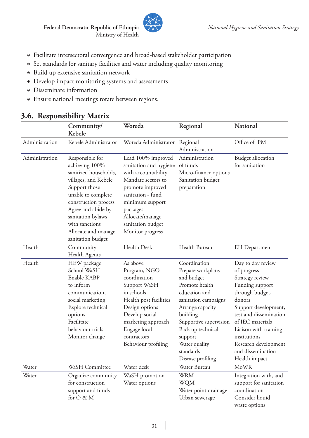**Federal Democratic Republic of Ethiopia** *National Hygiene and Sanitation Strategy* Ministry of Health



- Facilitate intersectoral convergence and broad-based stakeholder participation ◉
- ◉ Set standards for sanitary facilities and water including quality monitoring
- Build up extensive sanitation network ◉
- Develop impact monitoring systems and assessments ◉
- Disseminate information ◉
- Ensure national meetings rotate between regions. ◉

#### **3.6. Responsibility Matrix**

|                | Community/<br>Kebele                                                                                                                                                                                                                                       | Woreda                                                                                                                                                                                                                        | Regional                                                                                                                                                                                                                                                | National                                                                                                                                                                                                                                                                         |
|----------------|------------------------------------------------------------------------------------------------------------------------------------------------------------------------------------------------------------------------------------------------------------|-------------------------------------------------------------------------------------------------------------------------------------------------------------------------------------------------------------------------------|---------------------------------------------------------------------------------------------------------------------------------------------------------------------------------------------------------------------------------------------------------|----------------------------------------------------------------------------------------------------------------------------------------------------------------------------------------------------------------------------------------------------------------------------------|
| Administration | Kebele Administrator                                                                                                                                                                                                                                       | Woreda Administrator                                                                                                                                                                                                          | Regional<br>Administration                                                                                                                                                                                                                              | Office of PM                                                                                                                                                                                                                                                                     |
| Administration | Responsible for<br>achieving 100%<br>sanitized households,<br>villages, and Kebele<br>Support those<br>unable to complete<br>construction process<br>Agree and abide by<br>sanitation bylaws<br>with sanctions<br>Allocate and manage<br>sanitation budget | Lead 100% improved<br>sanitation and hygiene<br>with accountability<br>Mandate sectors to<br>promote improved<br>sanitation - fund<br>minimum support<br>packages<br>Allocate/manage<br>sanitation budget<br>Monitor progress | Administration<br>of funds<br>Micro-finance options<br>Sanitation budget<br>preparation                                                                                                                                                                 | <b>Budget allocation</b><br>for sanitation                                                                                                                                                                                                                                       |
| Health         | Community<br>Health Agents                                                                                                                                                                                                                                 | Health Desk                                                                                                                                                                                                                   | Health Bureau                                                                                                                                                                                                                                           | <b>EH</b> Department                                                                                                                                                                                                                                                             |
| Health         | HEW package<br>School WaSH<br>Enable KABP<br>to inform<br>communication,<br>social marketing<br>Explore technical<br>options<br>Facilitate<br>behaviour trials<br>Monitor change                                                                           | As above<br>Program, NGO<br>coordination<br>Support WaSH<br>in schools<br>Health post facilities<br>Design options<br>Develop social<br>marketing approach<br>Engage local<br>contractors<br>Behaviour profiling              | Coordination<br>Prepare workplans<br>and budget<br>Promote health<br>education and<br>sanitation campaigns<br>Arrange capacity<br>building<br>Supportive supervision<br>Back up technical<br>support<br>Water quality<br>standards<br>Disease profiling | Day to day review<br>of progress<br>Strategy review<br>Funding support<br>through budget,<br>donors<br>Support development,<br>test and dissemination<br>of IEC materials<br>Liaison with training<br>institutions<br>Research development<br>and dissemination<br>Health impact |
| Water          | WaSH Committee                                                                                                                                                                                                                                             | Water desk                                                                                                                                                                                                                    | Water Bureau                                                                                                                                                                                                                                            | MoWR                                                                                                                                                                                                                                                                             |
| Water          | Organize community<br>for construction<br>support and funds<br>for O & M                                                                                                                                                                                   | WaSH promotion<br>Water options                                                                                                                                                                                               | WRM<br>WQM<br>Water point drainage<br>Urban sewerage                                                                                                                                                                                                    | Integration with, and<br>support for sanitation<br>coordination<br>Consider liquid<br>waste options                                                                                                                                                                              |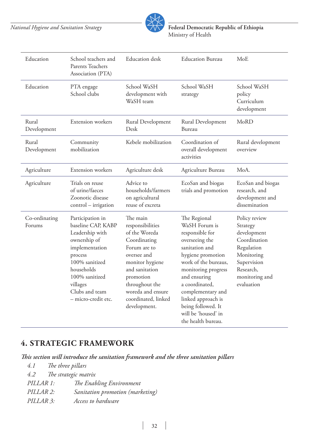

*National Hygiene and Sanitation Strategy* **Federal Democratic Republic of Ethiopia** Ministry of Health

| Education               | School teachers and<br>Parents Teachers<br>Association (PTA)                                                                                                                                                  | Education desk                                                                                                                                                                                                               | <b>Education Bureau</b>                                                                                                                                                                                                                                                                                  | MoE                                                                                                                                              |
|-------------------------|---------------------------------------------------------------------------------------------------------------------------------------------------------------------------------------------------------------|------------------------------------------------------------------------------------------------------------------------------------------------------------------------------------------------------------------------------|----------------------------------------------------------------------------------------------------------------------------------------------------------------------------------------------------------------------------------------------------------------------------------------------------------|--------------------------------------------------------------------------------------------------------------------------------------------------|
| Education               | PTA engage<br>School clubs                                                                                                                                                                                    | School WaSH<br>development with<br>WaSH team                                                                                                                                                                                 | School WaSH<br>strategy                                                                                                                                                                                                                                                                                  | School WaSH<br>policy<br>Curriculum<br>development                                                                                               |
| Rural<br>Development    | Extension workers                                                                                                                                                                                             | Rural Development<br>Desk                                                                                                                                                                                                    | Rural Development<br>Bureau                                                                                                                                                                                                                                                                              | MoRD                                                                                                                                             |
| Rural<br>Development    | Community<br>mobilization                                                                                                                                                                                     | Kebele mobilization                                                                                                                                                                                                          | Coordination of<br>overall development<br>activities                                                                                                                                                                                                                                                     | Rural development<br>overview                                                                                                                    |
| Agriculture             | <b>Extension</b> workers                                                                                                                                                                                      | Agriculture desk                                                                                                                                                                                                             | Agriculture Bureau                                                                                                                                                                                                                                                                                       | MoA.                                                                                                                                             |
| Agriculture             | Trials on reuse<br>of urine/faeces<br>Zoonotic disease<br>control - irrigation                                                                                                                                | Advice to<br>households/farmers<br>on agricultural<br>reuse of excreta                                                                                                                                                       | EcoSan and biogas<br>trials and promotion                                                                                                                                                                                                                                                                | EcoSan and biogas<br>research, and<br>development and<br>dissemination                                                                           |
| Co-ordinating<br>Forums | Participation in<br>baseline CAP, KABP<br>Leadership with<br>ownership of<br>implementation<br>process<br>100% sanitized<br>households<br>100% sanitized<br>villages<br>Clubs and team<br>- micro-credit etc. | The main<br>responsibilities<br>of the Woreda<br>Coordinating<br>Forum are to<br>oversee and<br>monitor hygiene<br>and sanitation<br>promotion<br>throughout the<br>woreda and ensure<br>coordinated, linked<br>development. | The Regional<br>WaSH Forum is<br>responsible for<br>overseeing the<br>sanitation and<br>hygiene promotion<br>work of the bureaus.<br>monitoring progress<br>and ensuring<br>a coordinated.<br>complementary and<br>linked approach is<br>being followed. It<br>will be 'housed' in<br>the health bureau. | Policy review<br>Strategy<br>development<br>Coordination<br>Regulation<br>Monitoring<br>Supervision<br>Research,<br>monitoring and<br>evaluation |

#### **4. Strategic framework**

*This section will introduce the sanitation framework and the three sanitation pillars*

| 4.1                   | The three pillars                |
|-----------------------|----------------------------------|
| 4.2                   | The strategic matrix             |
| PILLAR 1:             | The Enabling Environment         |
| PILLAR <sub>2</sub> : | Sanitation promotion (marketing) |
| PILLAR <sub>3</sub> : | Access to hardware               |
|                       |                                  |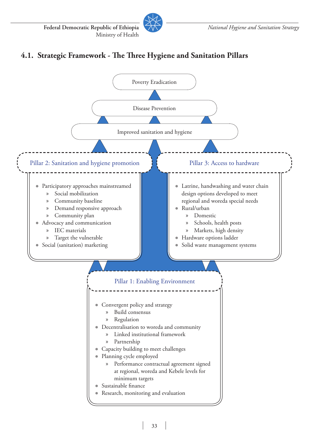### **4.1. Strategic Framework - The Three Hygiene and Sanitation Pillars**

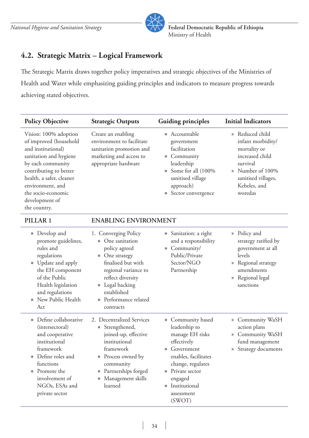

### **4.2. Strategic Matrix – Logical Framework**

The Strategic Matrix draws together policy imperatives and strategic objectives of the Ministries of Health and Water while emphasizing guiding principles and indicators to measure progress towards achieving stated objectives.

| <b>Policy Objective</b>                                                                                                                                                                                                                                | <b>Strategic Outputs</b>                                                                                                                                                                                               | <b>Guiding principles</b>                                                                                                                                                                                   | <b>Initial Indicators</b>                                                                                                                                 |
|--------------------------------------------------------------------------------------------------------------------------------------------------------------------------------------------------------------------------------------------------------|------------------------------------------------------------------------------------------------------------------------------------------------------------------------------------------------------------------------|-------------------------------------------------------------------------------------------------------------------------------------------------------------------------------------------------------------|-----------------------------------------------------------------------------------------------------------------------------------------------------------|
| Vision: 100% adoption<br>of improved (household<br>and institutional)<br>sanitation and hygiene<br>by each community<br>contributing to better<br>health, a safer, cleaner<br>environment, and<br>the socio-economic<br>development of<br>the country. | Create an enabling<br>environment to facilitate<br>sanitation promotion and<br>marketing and access to<br>appropriate hardware                                                                                         | ⊕ Accountable<br>government<br>facilitation<br>• Community<br>leadership<br>• Some for all (100%<br>sanitised village<br>approach)<br>• Sector convergence                                                  | » Reduced child<br>infant morbidity/<br>mortality or<br>increased child<br>survival<br>» Number of 100%<br>sanitised villages,<br>Kebeles, and<br>woredas |
| PILLAR <sub>1</sub>                                                                                                                                                                                                                                    | <b>ENABLING ENVIRONMENT</b>                                                                                                                                                                                            |                                                                                                                                                                                                             |                                                                                                                                                           |
| • Develop and<br>promote guidelines,<br>rules and<br>regulations<br>• Update and apply<br>the EH component<br>of the Public<br>Health legislation<br>and regulations<br>· New Public Health<br>Act                                                     | 1. Converging Policy<br>• One sanitation<br>policy agreed<br>• One strategy<br>finalised but with<br>regional variance to<br>reflect diversity<br>· Legal backing<br>established<br>• Performance related<br>contracts | • Sanitation: a right<br>and a responsibility<br>· Community/<br>Public/Private<br>Sector/NGO<br>Partnership                                                                                                | » Policy and<br>strategy ratified by<br>government at all<br>levels<br>» Regional strategy<br>amendments<br>» Regional legal<br>sanctions                 |
| • Define collaborative<br>(intersectoral)<br>and cooperative<br>institutional<br>framework<br>• Define roles and<br>functions<br>• Promote the<br>involvement of<br>NGOs, ESAs and<br>private sector                                                   | 2. Decentralized Services<br>• Strengthened,<br>joined-up, effective<br>institutional<br>framework<br>• Process owned by<br>community<br>· Partnerships forged<br>• Management skills<br>learned                       | • Community based<br>leadership to<br>manage EH risks<br>effectively<br>• Government<br>enables, facilitates<br>change, regulates<br>• Private sector<br>engaged<br>• Institutional<br>assessment<br>(SWOT) | » Community WaSH<br>action plans<br>» Community WaSH<br>fund management<br>» Strategy documents                                                           |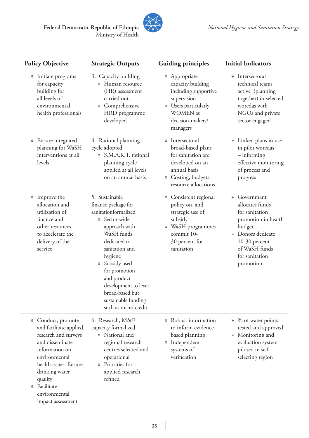| <b>Policy Objective</b>                                                                                                                                                                                                                | <b>Strategic Outputs</b>                                                                                                                                                                                                                                                                               | <b>Guiding principles</b>                                                                                                                            | <b>Initial Indicators</b>                                                                                                                                                  |
|----------------------------------------------------------------------------------------------------------------------------------------------------------------------------------------------------------------------------------------|--------------------------------------------------------------------------------------------------------------------------------------------------------------------------------------------------------------------------------------------------------------------------------------------------------|------------------------------------------------------------------------------------------------------------------------------------------------------|----------------------------------------------------------------------------------------------------------------------------------------------------------------------------|
| · Initiate programs<br>for capacity<br>building for<br>all levels of<br>environmental<br>health professionals                                                                                                                          | 3. Capacity building<br>• Human resource<br>(HR) assessment<br>carried out.<br>• Comprehensive<br>HRD programme<br>developed                                                                                                                                                                           | · Appropriate<br>capacity building<br>including supportive<br>supervision<br>• Users particularly<br><b>WOMEN</b> as<br>decision-makers/<br>managers | » Intersectoral<br>technical teams<br>active (planning<br>together) in selected<br>woredas with<br>NGOs and private<br>sector engaged                                      |
| • Ensure integrated<br>planning for WaSH<br>interventions at all<br>levels                                                                                                                                                             | 4. Rational planning<br>cycle adopted<br>● S.M.A.R.T. rational<br>planning cycle<br>applied at all levels<br>on an annual basis                                                                                                                                                                        | · Intersectoral<br>broad-based plans<br>for sanitation are<br>developed on an<br>annual basis<br>• Costing, budgets,<br>resource allocations         | » Linked plans in use<br>in pilot woredas<br>$-$ informing<br>effective monitoring<br>of process and<br>progress                                                           |
| • Improve the<br>allocation and<br>utilization of<br>finance and<br>other resources<br>to accelerate the<br>delivery of the<br>service                                                                                                 | 5. Sustainable<br>finance package for<br>sanitationformalized<br>• Sector-wide<br>approach with<br>WaSH funds<br>dedicated to<br>sanitation and<br>hygiene<br>• Subsidy used<br>for promotion<br>and product<br>development to lever<br>broad-based but<br>sustainable funding<br>such as micro-credit | • Consistent regional<br>policy on, and<br>strategic use of,<br>subsidy<br>• WaSH programmes<br>commit 10-<br>30 percent for<br>sanitation           | » Government<br>allocates funds<br>for sanitation<br>promotion in health<br>budget<br>» Donors dedicate<br>$10-30$ percent<br>of WaSH funds<br>for sanitation<br>promotion |
| • Conduct, promote<br>and facilitate applied<br>research and surveys<br>and disseminate<br>information on<br>environmental<br>health issues. Ensure<br>drinking water<br>quality<br>· Facilitate<br>environmental<br>impact assessment | 6. Research, M&E<br>capacity formalized<br>• National and<br>regional research<br>centres selected and<br>operational<br>• Priorities for<br>applied research<br>refined                                                                                                                               | • Robust information<br>to inform evidence<br>based planning<br>· Independent<br>systems of<br>verification                                          | » % of water points<br>tested and approved<br>» Monitoring and<br>evaluation system<br>piloted in self-<br>selecting region                                                |

 $\mathbf{L}$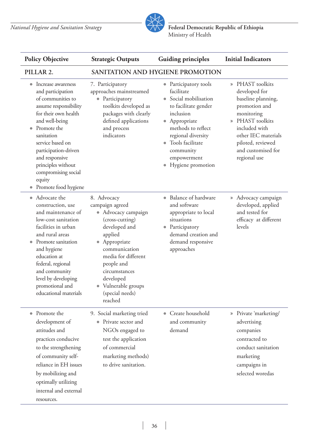| <b>Policy Objective</b>                                                                                                                                                                                                                                                                                         | <b>Strategic Outputs</b>                                                                                                                                                                                                                                       | <b>Guiding principles</b>                                                                                                                                                                                                               | <b>Initial Indicators</b>                                                                                                                                                                                     |
|-----------------------------------------------------------------------------------------------------------------------------------------------------------------------------------------------------------------------------------------------------------------------------------------------------------------|----------------------------------------------------------------------------------------------------------------------------------------------------------------------------------------------------------------------------------------------------------------|-----------------------------------------------------------------------------------------------------------------------------------------------------------------------------------------------------------------------------------------|---------------------------------------------------------------------------------------------------------------------------------------------------------------------------------------------------------------|
| PILLAR <sub>2</sub> .                                                                                                                                                                                                                                                                                           |                                                                                                                                                                                                                                                                | SANITATION AND HYGIENE PROMOTION                                                                                                                                                                                                        |                                                                                                                                                                                                               |
| • Increase awareness<br>and participation<br>of communities to<br>assume responsibility<br>for their own health<br>and well-being<br>• Promote the<br>sanitation<br>service based on<br>participation-driven<br>and responsive<br>principles without<br>compromising social<br>equity<br>• Promote food hygiene | 7. Participatory<br>approaches mainstreamed<br>• Participatory<br>toolkits developed as<br>packages with clearly<br>defined applications<br>and process<br>indicators                                                                                          | • Participatory tools<br>facilitate<br>• Social mobilisation<br>to facilitate gender<br>inclusion<br>• Appropriate<br>methods to reflect<br>regional diversity<br>● Tools facilitate<br>community<br>empowerment<br>• Hygiene promotion | » PHAST toolkits<br>developed for<br>baseline planning,<br>promotion and<br>monitoring<br>» PHAST toolkits<br>included with<br>other IEC materials<br>piloted, reviewed<br>and customised for<br>regional use |
| • Advocate the<br>construction, use<br>and maintenance of<br>low-cost sanitation<br>facilities in urban<br>and rural areas<br>• Promote sanitation<br>and hygiene<br>education at<br>federal, regional<br>and community<br>level by developing<br>promotional and<br>educational materials                      | 8. Advocacy<br>campaign agreed<br>· Advocacy campaign<br>(cross-cutting)<br>developed and<br>applied<br>• Appropriate<br>communication<br>media for different<br>people and<br>circumstances<br>developed<br>· Vulnerable groups<br>(special needs)<br>reached | • Balance of hardware<br>and software<br>appropriate to local<br>situations<br>· Participatory<br>demand creation and<br>demand responsive<br>approaches                                                                                | » Advocacy campaign<br>developed, applied<br>and tested for<br>efficacy at different<br>levels                                                                                                                |
| • Promote the<br>development of<br>attitudes and<br>practices conducive<br>to the strengthening<br>of community self-<br>reliance in EH issues<br>by mobilizing and<br>optimally utilizing<br>internal and external<br>resources.                                                                               | 9. Social marketing tried<br>• Private sector and<br>NGOs engaged to<br>test the application<br>of commercial<br>marketing methods)<br>to drive sanitation.                                                                                                    | · Create household<br>and community<br>demand                                                                                                                                                                                           | » Private 'marketing/<br>advertising<br>companies<br>contracted to<br>conduct sanitation<br>marketing<br>campaigns in<br>selected woredas                                                                     |

 $\overline{\phantom{a}}$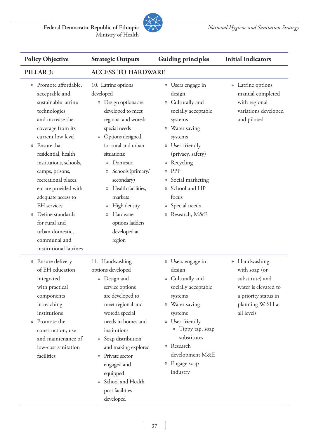

| <b>Policy Objective</b>                                                                                                                                                                                                                                                                                                                                                                                                                     | <b>Strategic Outputs</b>                                                                                                                                                                                                                                                                                                                             | <b>Guiding principles</b>                                                                                                                                                                                                                                                       | <b>Initial Indicators</b>                                                                                                           |
|---------------------------------------------------------------------------------------------------------------------------------------------------------------------------------------------------------------------------------------------------------------------------------------------------------------------------------------------------------------------------------------------------------------------------------------------|------------------------------------------------------------------------------------------------------------------------------------------------------------------------------------------------------------------------------------------------------------------------------------------------------------------------------------------------------|---------------------------------------------------------------------------------------------------------------------------------------------------------------------------------------------------------------------------------------------------------------------------------|-------------------------------------------------------------------------------------------------------------------------------------|
| PILLAR 3:                                                                                                                                                                                                                                                                                                                                                                                                                                   | <b>ACCESS TO HARDWARE</b>                                                                                                                                                                                                                                                                                                                            |                                                                                                                                                                                                                                                                                 |                                                                                                                                     |
| · Promote affordable,<br>acceptable and<br>sustainable latrine<br>technologies<br>and increase the<br>coverage from its<br>current low level<br>● Ensure that<br>residential, health<br>institutions, schools,<br>camps, prisons,<br>recreational places,<br>etc are provided with<br>adequate access to<br><b>EH</b> services<br>Define standards<br>$\odot$<br>for rural and<br>urban domestic,<br>communal and<br>institutional latrines | 10. Latrine options<br>developed<br>• Design options are<br>developed to meet<br>regional and woreda<br>special needs<br>• Options designed<br>for rural and urban<br>situations:<br>» Domestic<br>» Schools (primary/<br>secondary)<br>» Health facilities,<br>markets<br>» High density<br>» Hardware<br>options ladders<br>developed at<br>region | • Users engage in<br>design<br>• Culturally and<br>socially acceptable<br>systems<br>• Water saving<br>systems<br>• User-friendly<br>(privacy, safety)<br>• Recycling<br>PPP<br>$\odot$<br>• Social marketing<br>• School and HP<br>focus<br>• Special needs<br>· Research, M&E | » Latrine options<br>manual completed<br>with regional<br>variations developed<br>and piloted                                       |
| • Ensure delivery<br>of EH education<br>integrated<br>with practical<br>components<br>in teaching<br>institutions<br>Promote the<br>construction, use<br>and maintenance of<br>low-cost sanitation<br>facilities                                                                                                                                                                                                                            | 11. Handwashing<br>options developed<br>• Design and<br>service options<br>are developed to<br>meet regional and<br>woreda special<br>needs in homes and<br>institutions<br>• Soap distribution<br>and making explored<br>• Private sector<br>engaged and<br>equipped<br>• School and Health<br>post facilities<br>developed                         | • Users engage in<br>design<br>• Culturally and<br>socially acceptable<br>systems<br>• Water saving<br>systems<br>• User-friendly<br>» Tippy tap, soap<br>substitutes<br>⊕ Research<br>development M&E<br>• Engage soap<br>industry                                             | » Handwashing<br>with soap (or<br>substitute) and<br>water is elevated to<br>a priority status in<br>planning WaSH at<br>all levels |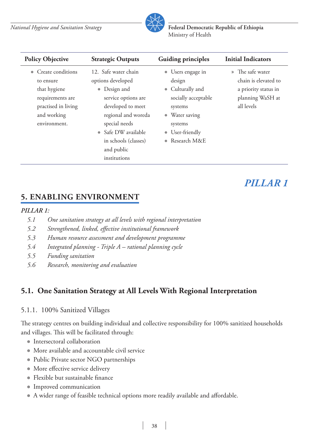

*National Hygiene and Sanitation Strategy* **Federal Democratic Republic of Ethiopia** Ministry of Health

| <b>Policy Objective</b>                                                                                                             | <b>Strategic Outputs</b>                                                                                                                                                                                                            | <b>Guiding principles</b>                                                                                                                                             | <b>Initial Indicators</b>                                                                                         |
|-------------------------------------------------------------------------------------------------------------------------------------|-------------------------------------------------------------------------------------------------------------------------------------------------------------------------------------------------------------------------------------|-----------------------------------------------------------------------------------------------------------------------------------------------------------------------|-------------------------------------------------------------------------------------------------------------------|
| Create conditions<br>$\odot$<br>to ensure<br>that hygiene<br>requirements are<br>practised in living<br>and working<br>environment. | 12. Safe water chain<br>options developed<br>Design and<br>$\odot$<br>service options are<br>developed to meet<br>regional and woreda<br>special needs<br>• Safe DW available<br>in schools (classes)<br>and public<br>institutions | • Users engage in<br>design<br>• Culturally and<br>socially acceptable<br>systems<br>• Water saving<br>systems<br>User-friendly<br>$\odot$<br>Research M&E<br>$\odot$ | The safe water<br>$\mathcal{D}$<br>chain is elevated to<br>a priority status in<br>planning WaSH at<br>all levels |

### *PILLAR 1*

### **5. Enabling Environment**

#### *PILLAR 1:*

- *5.1 One sanitation strategy at all levels with regional interpretation*
- *5.2 Strengthened, linked, effective institutional framework*
- *5.3 Human resource assessment and development programme*
- *5.4 Integrated planning Triple A rational planning cycle*
- *5.5 Funding sanitation*
- *5.6 Research, monitoring and evaluation*

### **5.1. One Sanitation Strategy at All Levels With Regional Interpretation**

#### 5.1.1. 100% Sanitized Villages

The strategy centres on building individual and collective responsibility for 100% sanitized households and villages. This will be facilitated through:

- Intersectoral collaboration ◉
- More available and accountable civil service ◉
- Public Private sector NGO partnerships ◉
- More effective service delivery ◉
- Flexible but sustainable finance ◉
- Improved communication ◉
- A wider range of feasible technical options more readily available and affordable. ◉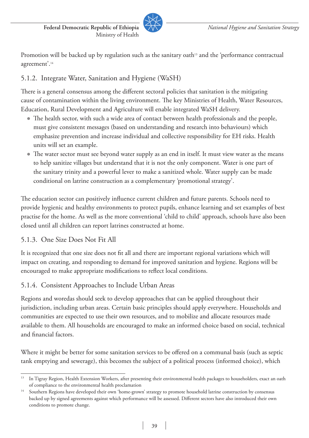**Federal Democratic Republic of Ethiopia** *National Hygiene and Sanitation Strategy* Ministry of Health



Promotion will be backed up by regulation such as the sanitary oath<sup>13</sup> and the 'performance contractual agreement'.14

#### 5.1.2. Integrate Water, Sanitation and Hygiene (WaSH)

There is a general consensus among the different sectoral policies that sanitation is the mitigating cause of contamination within the living environment. The key Ministries of Health, Water Resources, Education, Rural Development and Agriculture will enable integrated WaSH delivery.

- The health sector, with such a wide area of contact between health professionals and the people, ◉ must give consistent messages (based on understanding and research into behaviours) which emphasize prevention and increase individual and collective responsibility for EH risks. Health units will set an example.
- The water sector must see beyond water supply as an end in itself. It must view water as the means ◉to help sanitize villages but understand that it is not the only component. Water is one part of the sanitary trinity and a powerful lever to make a sanitized whole. Water supply can be made conditional on latrine construction as a complementary 'promotional strategy'.

The education sector can positively influence current children and future parents. Schools need to provide hygienic and healthy environments to protect pupils, enhance learning and set examples of best practise for the home. As well as the more conventional 'child to child' approach, schools have also been closed until all children can report latrines constructed at home.

#### 5.1.3. One Size Does Not Fit All

It is recognized that one size does not fit all and there are important regional variations which will impact on creating, and responding to demand for improved sanitation and hygiene. Regions will be encouraged to make appropriate modifications to reflect local conditions.

#### 5.1.4. Consistent Approaches to Include Urban Areas

Regions and woredas should seek to develop approaches that can be applied throughout their jurisdiction, including urban areas. Certain basic principles should apply everywhere. Households and communities are expected to use their own resources, and to mobilize and allocate resources made available to them. All households are encouraged to make an informed choice based on social, technical and financial factors.

Where it might be better for some sanitation services to be offered on a communal basis (such as septic tank emptying and sewerage), this becomes the subject of a political process (informed choice), which

<sup>13</sup> In Tigray Region, Health Extension Workers, after presenting their environmental health packages to householders, exact an oath of compliance to the environmental health proclamation

<sup>&</sup>lt;sup>14</sup> Southern Regions have developed their own 'home-grown' strategy to promote household latrine construction by consensus backed up by signed agreements against which performance will be assessed. Different sectors have also introduced their own conditions to promote change.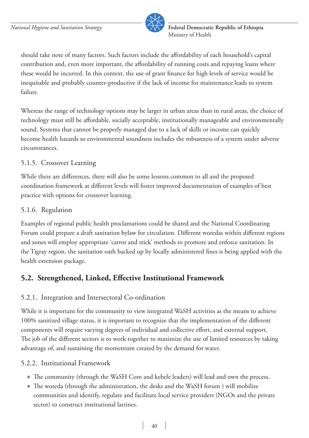

should take note of many factors. Such factors include the affordability of each household's capital contribution and, even more important, the affordability of running costs and repaying loans where these would be incurred. In this context, the use of grant finance for high levels of service would be inequitable and probably counter-productive if the lack of income for maintenance leads to system failure.

Whereas the range of technology options may be larger in urban areas than in rural areas, the choice of technology must still be affordable, socially acceptable, institutionally manageable and environmentally sound. Systems that cannot be properly managed due to a lack of skills or income can quickly become health hazards so environmental soundness includes the robustness of a system under adverse circumstances.

#### 5.1.5. Crossover Learning

While there are differences, there will also be some lessons common to all and the proposed coordination framework at different levels will foster improved documentation of examples of best practice with options for crossover learning.

#### 5.1.6. Regulation

Examples of regional public health proclamations could be shared and the National Coordinating Forum could prepare a draft sanitation bylaw for circulation. Different woredas within different regions and zones will employ appropriate 'carrot and stick' methods to promote and enforce sanitation. In the Tigray region, the sanitation oath backed up by locally administered fines is being applied with the health extension package.

### **5.2. Strengthened, Linked, Effective Institutional Framework**

#### 5.2.1. Integration and Intersectoral Co-ordination

While it is important for the community to view integrated WaSH activities as the means to achieve 100% sanitized village status, it is important to recognize that the implementation of the different components will require varying degrees of individual and collective effort, and external support. The job of the different sectors is to work together to maximize the use of limited resources by taking advantage of, and sustaining the momentum created by the demand for water.

#### 5.2.2. Institutional Framework

- The community (through the WaSH Com and kebele leaders) will lead and own the process. ◉
- The woreda (through the administration, the desks and the WaSH forum ) will mobilize ◉communities and identify, regulate and facilitate local service providers (NGOs and the private sector) to construct institutional latrines.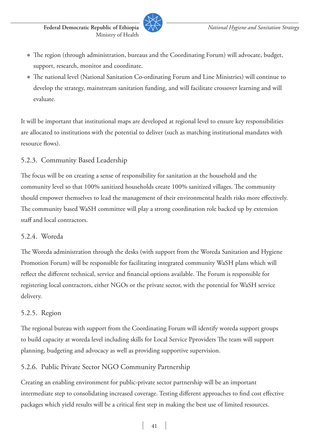**Federal Democratic Republic of Ethiopia** *NA National Hygiene and Sanitation Strategy* Ministry of Health

- The region (through administration, bureaus and the Coordinating Forum) will advocate, budget, ◉ support, research, monitor and coordinate.
- The national level (National Sanitation Co-ordinating Forum and Line Ministries) will continue to ◉develop the strategy, mainstream sanitation funding, and will facilitate crossover learning and will evaluate.

It will be important that institutional maps are developed at regional level to ensure key responsibilities are allocated to institutions with the potential to deliver (such as matching institutional mandates with resource flows).

#### 5.2.3. Community Based Leadership

The focus will be on creating a sense of responsibility for sanitation at the household and the community level so that 100% sanitized households create 100% sanitized villages. The community should empower themselves to lead the management of their environmental health risks more effectively. The community based WaSH committee will play a strong coordination role backed up by extension staff and local contractors.

#### 5.2.4. Woreda

The Woreda administration through the desks (with support from the Woreda Sanitation and Hygiene Promotion Forum) will be responsible for facilitating integrated community WaSH plans which will reflect the different technical, service and financial options available. The Forum is responsible for registering local contractors, either NGOs or the private sector, with the potential for WaSH service delivery.

#### 5.2.5. Region

The regional bureau with support from the Coordinating Forum will identify woreda support groups to build capacity at woreda level including skills for Local Service Pproviders The team will support planning, budgeting and advocacy as well as providing supportive supervision.

#### 5.2.6. Public Private Sector NGO Community Partnership

Creating an enabling environment for public-private sector partnership will be an important intermediate step to consolidating increased coverage. Testing different approaches to find cost effective packages which yield results will be a critical first step in making the best use of limited resources.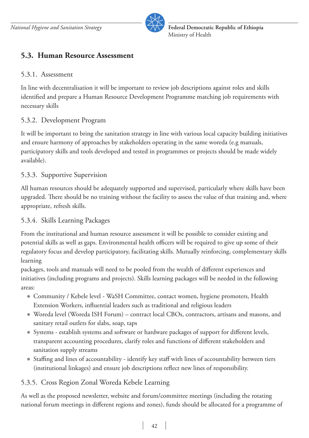

### **5.3. Human Resource Assessment**

#### 5.3.1. Assessment

In line with decentralisation it will be important to review job descriptions against roles and skills identified and prepare a Human Resource Development Programme matching job requirements with necessary skills

#### 5.3.2. Development Program

It will be important to bring the sanitation strategy in line with various local capacity building initiatives and ensure harmony of approaches by stakeholders operating in the same woreda (e.g manuals, participatory skills and tools developed and tested in programmes or projects should be made widely available).

#### 5.3.3. Supportive Supervision

All human resources should be adequately supported and supervised, particularly where skills have been upgraded. There should be no training without the facility to assess the value of that training and, where appropriate, refresh skills.

#### 5.3.4. Skills Learning Packages

From the institutional and human resource assessment it will be possible to consider existing and potential skills as well as gaps. Environmental health officers will be required to give up some of their regulatory focus and develop participatory, facilitating skills. Mutually reinforcing, complementary skills learning

packages, tools and manuals will need to be pooled from the wealth of different experiences and initiatives (including programs and projects). Skills learning packages will be needed in the following areas:

- Community / Kebele level WaSH Committee, contact women, hygiene promoters, Health ◉ Extension Workers, influential leaders such as traditional and religious leaders
- Woreda level (Woreda ISH Forum) contract local CBOs, contractors, artisans and masons, and ◉ sanitary retail outlets for slabs, soap, taps
- ◎ Systems establish systems and software or hardware packages of support for different levels, transparent accounting procedures, clarify roles and functions of different stakeholders and sanitation supply streams
- Staffing and lines of accountability identify key staff with lines of accountability between tiers ◉(institutional linkages) and ensure job descriptions reflect new lines of responsibility.

#### 5.3.5. Cross Region Zonal Woreda Kebele Learning

As well as the proposed newsletter, website and forum/committee meetings (including the rotating national forum meetings in different regions and zones), funds should be allocated for a programme of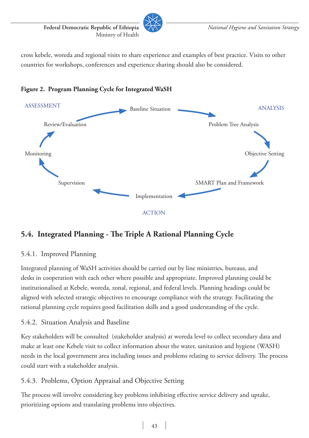Ministry of Health



cross kebele, woreda and regional visits to share experience and examples of best practice. Visits to other countries for workshops, conferences and experience sharing should also be considered.



#### **Figure 2. Program Planning Cycle for Integrated WaSH**

### **5.4. Integrated Planning - The Triple A Rational Planning Cycle**

#### 5.4.1. Improved Planning

Integrated planning of WaSH activities should be carried out by line ministries, bureaus, and desks in cooperation with each other where possible and appropriate. Improved planning could be institutionalised at Kebele, woreda, zonal, regional, and federal levels. Planning headings could be aligned with selected strategic objectives to encourage compliance with the strategy. Facilitating the rational planning cycle requires good facilitation skills and a good understanding of the cycle.

#### 5.4.2. Situation Analysis and Baseline

Key stakeholders will be consulted (stakeholder analysis) at woreda level to collect secondary data and make at least one Kebele visit to collect information about the water, sanitation and hygiene (WASH) needs in the local government area including issues and problems relating to service delivery. The process could start with a stakeholder analysis.

#### 5.4.3. Problems, Option Appraisal and Objective Setting

The process will involve considering key problems inhibiting effective service delivery and uptake, prioritizing options and translating problems into objectives.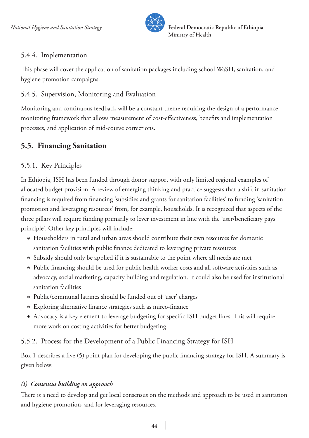

#### 5.4.4. Implementation

This phase will cover the application of sanitation packages including school WaSH, sanitation, and hygiene promotion campaigns.

#### 5.4.5. Supervision, Monitoring and Evaluation

Monitoring and continuous feedback will be a constant theme requiring the design of a performance monitoring framework that allows measurement of cost-effectiveness, benefits and implementation processes, and application of mid-course corrections.

### **5.5. Financing Sanitation**

#### 5.5.1. Key Principles

In Ethiopia, ISH has been funded through donor support with only limited regional examples of allocated budget provision. A review of emerging thinking and practice suggests that a shift in sanitation financing is required from financing 'subsidies and grants for sanitation facilities' to funding 'sanitation promotion and leveraging resources' from, for example, households. It is recognized that aspects of the three pillars will require funding primarily to lever investment in line with the 'user/beneficiary pays principle'. Other key principles will include:

- Householders in rural and urban areas should contribute their own resources for domestic ◉ sanitation facilities with public finance dedicated to leveraging private resources
- $\bullet~$  Subsidy should only be applied if it is sustainable to the point where all needs are met
- $\bullet$  Public financing should be used for public health worker costs and all software activities such as advocacy, social marketing, capacity building and regulation. It could also be used for institutional sanitation facilities
- Public/communal latrines should be funded out of 'user' charges ◉
- Exploring alternative finance strategies such as mirco-finance ◉
- Advocacy is a key element to leverage budgeting for specific ISH budget lines. This will require ◉more work on costing activities for better budgeting.

#### 5.5.2. Process for the Development of a Public Financing Strategy for ISH

Box 1 describes a five (5) point plan for developing the public financing strategy for ISH. A summary is given below:

#### *(i) Consensus building on approach*

There is a need to develop and get local consensus on the methods and approach to be used in sanitation and hygiene promotion, and for leveraging resources.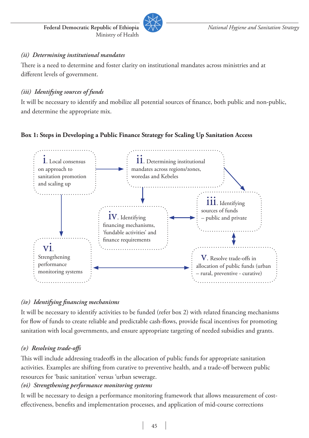**Federal Democratic Republic of Ethiopia** *National Hygiene and Sanitation Strategy* Ministry of Health



#### *(ii) Determining institutional mandates*

There is a need to determine and foster clarity on institutional mandates across ministries and at different levels of government.

#### *(iii) Identifying sources of funds*

It will be necessary to identify and mobilize all potential sources of finance, both public and non-public, and determine the appropriate mix.

#### **Box 1: Steps in Developing a Public Finance Strategy for Scaling Up Sanitation Access**



#### *(iv) Identifying financing mechanisms*

It will be necessary to identify activities to be funded (refer box 2) with related financing mechanisms for flow of funds to create reliable and predictable cash-flows, provide fiscal incentives for promoting sanitation with local governments, and ensure appropriate targeting of needed subsidies and grants.

#### *(v) Resolving trade-offs*

This will include addressing tradeoffs in the allocation of public funds for appropriate sanitation activities. Examples are shifting from curative to preventive health, and a trade-off between public resources for 'basic sanitation' versus 'urban sewerage.

#### *(vi) Strengthening performance monitoring systems*

It will be necessary to design a performance monitoring framework that allows measurement of costeffectiveness, benefits and implementation processes, and application of mid-course corrections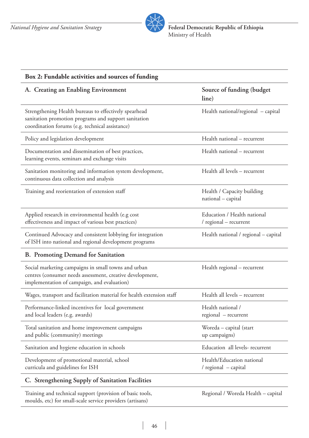

| Box 2: Fundable activities and sources of funding                                                                                                                |                                                       |
|------------------------------------------------------------------------------------------------------------------------------------------------------------------|-------------------------------------------------------|
| A. Creating an Enabling Environment                                                                                                                              | Source of funding (budget<br>line)                    |
| Strengthening Health bureaus to effectively spearhead<br>sanitation promotion programs and support sanitation<br>coordination forums (e.g. technical assistance) | Health national/regional - capital                    |
| Policy and legislation development                                                                                                                               | Health national - recurrent                           |
| Documentation and dissemination of best practices,<br>learning events, seminars and exchange visits                                                              | Health national - recurrent                           |
| Sanitation monitoring and information system development,<br>continuous data collection and analysis                                                             | Health all levels - recurrent                         |
| Training and reorientation of extension staff                                                                                                                    | Health / Capacity building<br>national - capital      |
| Applied research in environmental health (e.g cost<br>effectiveness and impact of various best practices)                                                        | Education / Health national<br>/ regional - recurrent |
| Continued Advocacy and consistent lobbying for integration<br>of ISH into national and regional development programs                                             | Health national / regional - capital                  |
| <b>B.</b> Promoting Demand for Sanitation                                                                                                                        |                                                       |
| Social marketing campaigns in small towns and urban<br>centres (consumer needs assessment, creative development,<br>implementation of campaign, and evaluation)  | Health regional - recurrent                           |
| Wages, transport and facilitation material for health extension staff                                                                                            | Health all levels - recurrent                         |
| Performance-linked incentives for local government<br>and local leaders (e.g. awards)                                                                            | Health national /<br>regional - recurrent             |
| Total sanitation and home improvement campaigns<br>and public (community) meetings                                                                               | Woreda - capital (start<br>up campaigns)              |
| Sanitation and hygiene education in schools                                                                                                                      | Education all levels-recurrent                        |
| Development of promotional material, school<br>curricula and guidelines for ISH                                                                                  | Health/Education national<br>/ regional - capital     |
| C. Strengthening Supply of Sanitation Facilities                                                                                                                 |                                                       |

Training and technical support (provision of basic tools, moulds, etc) for small-scale service providers (artisans)

Regional / Woreda Health – capital

 $\overline{\phantom{a}}$ 

 $\overline{\phantom{a}}$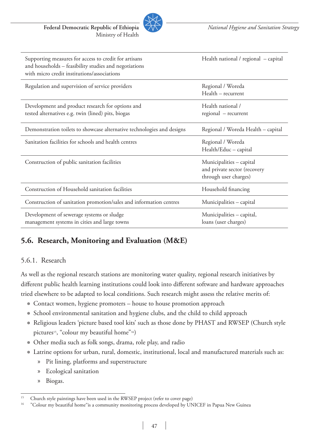| Supporting measures for access to credit for artisans<br>and households – feasibility studies and negotiations<br>with micro credit institutions/associations | Health national / regional – capital                                              |
|---------------------------------------------------------------------------------------------------------------------------------------------------------------|-----------------------------------------------------------------------------------|
| Regulation and supervision of service providers                                                                                                               | Regional / Woreda<br>Health - recurrent                                           |
| Development and product research for options and<br>tested alternatives e.g. twin (lined) pits, biogas                                                        | Health national /<br>regional – recurrent                                         |
| Demonstration toilets to showcase alternative technologies and designs                                                                                        | Regional / Woreda Health - capital                                                |
| Sanitation facilities for schools and health centres                                                                                                          | Regional / Woreda<br>Health/Educ - capital                                        |
| Construction of public sanitation facilities                                                                                                                  | Municipalities – capital<br>and private sector (recovery<br>through user charges) |
| Construction of Household sanitation facilities                                                                                                               | Household financing                                                               |
| Construction of sanitation promotion/sales and information centres                                                                                            | Municipalities – capital                                                          |
| Development of sewerage systems or sludge<br>management systems in cities and large towns                                                                     | Municipalities - capital,<br>loans (user charges)                                 |

#### **5.6. Research, Monitoring and Evaluation (M&E)**

#### 5.6.1. Research

As well as the regional research stations are monitoring water quality, regional research initiatives by different public health learning institutions could look into different software and hardware approaches tried elsewhere to be adapted to local conditions. Such research might assess the relative merits of:

- Contact women, hygiene promoters house to house promotion approach ◉
- ◉ School environmental sanitation and hygiene clubs, and the child to child approach
- Religious leaders 'picture based tool kits' such as those done by PHAST and RWSEP (Church style ◉ pictures<sup>15</sup>, "colour my beautiful home"<sup>16</sup>)
- ◉ Other media such as folk songs, drama, role play, and radio
- Latrine options for urban, rural, domestic, institutional, local and manufactured materials such as: ◉
	- Pit lining, platforms and superstructure »
	- Ecological sanitation »
	- Biogas. »

<sup>&</sup>lt;sup>15</sup> Church style paintings have been used in the RWSEP project (refer to cover page)

<sup>16 &</sup>quot;Colour my beautiful home"is a community monitoring process developed by UNICEF in Papua New Guinea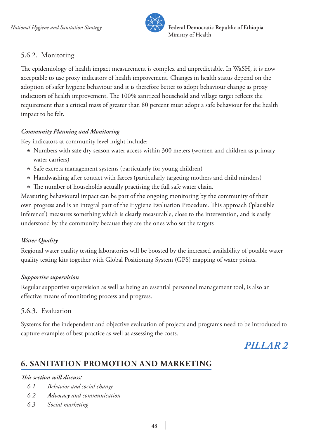

#### 5.6.2. Monitoring

The epidemiology of health impact measurement is complex and unpredictable. In WaSH, it is now acceptable to use proxy indicators of health improvement. Changes in health status depend on the adoption of safer hygiene behaviour and it is therefore better to adopt behaviour change as proxy indicators of health improvement. The 100% sanitized household and village target reflects the requirement that a critical mass of greater than 80 percent must adopt a safe behaviour for the health impact to be felt.

#### *Community Planning and Monitoring*

Key indicators at community level might include:

- Numbers with safe dry season water access within 300 meters (women and children as primary ◉ water carriers)
- ◎ Safe excreta management systems (particularly for young children)
- Handwashing after contact with faeces (particularly targeting mothers and child minders) ◉
- The number of households actually practising the full safe water chain. ◉

Measuring behavioural impact can be part of the ongoing monitoring by the community of their own progress and is an integral part of the Hygiene Evaluation Procedure. This approach ('plausible inference') measures something which is clearly measurable, close to the intervention, and is easily understood by the community because they are the ones who set the targets

#### *Water Quality*

Regional water quality testing laboratories will be boosted by the increased availability of potable water quality testing kits together with Global Positioning System (GPS) mapping of water points.

#### *Supportive supervision*

Regular supportive supervision as well as being an essential personnel management tool, is also an effective means of monitoring process and progress.

#### 5.6.3. Evaluation

Systems for the independent and objective evaluation of projects and programs need to be introduced to capture examples of best practice as well as assessing the costs.

### *PILLAR 2*

### **6. sanitation promotion and marketing**

#### *This section will discuss:*

- *6.1 Behavior and social change*
- *6.2 Advocacy and communication*
- *6.3 Social marketing*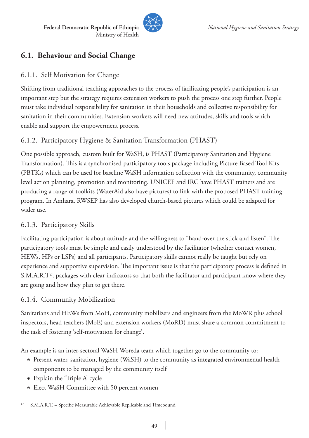**Federal Democratic Republic of Ethiopia** *National Hygiene and Sanitation Strategy* Ministry of Health



### **6.1. Behaviour and Social Change**

#### 6.1.1. Self Motivation for Change

Shifting from traditional teaching approaches to the process of facilitating people's participation is an important step but the strategy requires extension workers to push the process one step further. People must take individual responsibility for sanitation in their households and collective responsibility for sanitation in their communities. Extension workers will need new attitudes, skills and tools which enable and support the empowerment process.

#### 6.1.2. Participatory Hygiene & Sanitation Transformation (PHAST)

One possible approach, custom built for WaSH, is PHAST (Participatory Sanitation and Hygiene Transformation). This is a synchronised participatory tools package including Picture Based Tool Kits (PBTKs) which can be used for baseline WaSH information collection with the community, community level action planning, promotion and monitoring. UNICEF and IRC have PHAST trainers and are producing a range of toolkits (WaterAid also have pictures) to link with the proposed PHAST training program. In Amhara, RWSEP has also developed church-based pictures which could be adapted for wider use.

#### 6.1.3. Participatory Skills

Facilitating participation is about attitude and the willingness to "hand-over the stick and listen". The participatory tools must be simple and easily understood by the facilitator (whether contact women, HEWs, HPs or LSPs) and all participants. Participatory skills cannot really be taught but rely on experience and supportive supervision. The important issue is that the participatory process is defined in S.M.A.R.T<sup>17</sup>. packages with clear indicators so that both the facilitator and participant know where they are going and how they plan to get there.

#### 6.1.4. Community Mobilization

Sanitarians and HEWs from MoH, community mobilizers and engineers from the MoWR plus school inspectors, head teachers (MoE) and extension workers (MoRD) must share a common commitment to the task of fostering 'self-motivation for change'.

An example is an inter-sectoral WaSH Woreda team which together go to the community to:

- Present water, sanitation, hygiene (WaSH) to the community as integrated environmental health ◉ components to be managed by the community itself
- Explain the 'Triple A' cycle ◉
- Elect WaSH Committee with 50 percent women ◉

<sup>&</sup>lt;sup>17</sup> S.M.A.R.T. – Specific Measurable Achievable Replicable and Timebound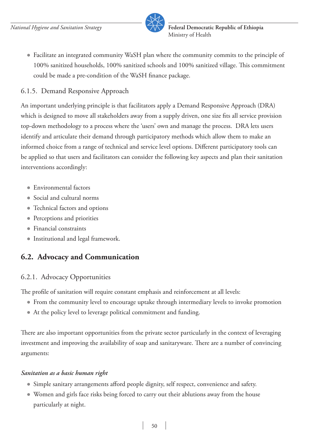

Facilitate an integrated community WaSH plan where the community commits to the principle of ◉ 100% sanitized households, 100% sanitized schools and 100% sanitized village. This commitment could be made a pre-condition of the WaSH finance package.

#### 6.1.5. Demand Responsive Approach

An important underlying principle is that facilitators apply a Demand Responsive Approach (DRA) which is designed to move all stakeholders away from a supply driven, one size fits all service provision top-down methodology to a process where the 'users' own and manage the process. DRA lets users identify and articulate their demand through participatory methods which allow them to make an informed choice from a range of technical and service level options. Different participatory tools can be applied so that users and facilitators can consider the following key aspects and plan their sanitation interventions accordingly:

- Environmental factors ◉
- Social and cultural norms ◉
- Technical factors and options ◉
- Perceptions and priorities ◉
- Financial constraints ◉
- ◎ Institutional and legal framework.

### **6.2. Advocacy and Communication**

#### 6.2.1. Advocacy Opportunities

The profile of sanitation will require constant emphasis and reinforcement at all levels:

- From the community level to encourage uptake through intermediary levels to invoke promotion ◉
- At the policy level to leverage political commitment and funding. ◉

There are also important opportunities from the private sector particularly in the context of leveraging investment and improving the availability of soap and sanitaryware. There are a number of convincing arguments:

#### *Sanitation as a basic human right*

- Simple sanitary arrangements afford people dignity, self respect, convenience and safety. ◉
- Women and girls face risks being forced to carry out their ablutions away from the house ◉particularly at night.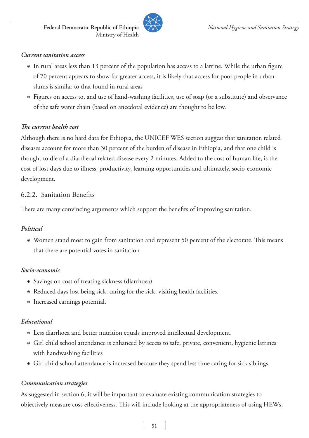#### *Current sanitation access*

- $\bullet$  In rural areas less than 13 percent of the population has access to a latrine. While the urban figure of 70 percent appears to show far greater access, it is likely that access for poor people in urban slums is similar to that found in rural areas
- Figures on access to, and use of hand-washing facilities, use of soap (or a substitute) and observance ◉ of the safe water chain (based on anecdotal evidence) are thought to be low.

#### *The current health cost*

Although there is no hard data for Ethiopia, the UNICEF WES section suggest that sanitation related diseases account for more than 30 percent of the burden of disease in Ethiopia, and that one child is thought to die of a diarrheoal related disease every 2 minutes. Added to the cost of human life, is the cost of lost days due to illness, productivity, learning opportunities and ultimately, socio-economic development.

#### 6.2.2. Sanitation Benefits

There are many convincing arguments which support the benefits of improving sanitation.

#### *Political*

Women stand most to gain from sanitation and represent 50 percent of the electorate. This means ◉ that there are potential votes in sanitation

#### *Socio-economic*

- Savings on cost of treating sickness (diarrhoea). ◉
- Reduced days lost being sick, caring for the sick, visiting health facilities. ◉
- Increased earnings potential. ◉

#### *Educational*

- Less diarrhoea and better nutrition equals improved intellectual development. ◉
- Girl child school attendance is enhanced by access to safe, private, convenient, hygienic latrines ◉ with handwashing facilities
- Girl child school attendance is increased because they spend less time caring for sick siblings. ◉

#### *Communication strategies*

As suggested in section 6, it will be important to evaluate existing communication strategies to objectively measure cost-effectiveness. This will include looking at the appropriateness of using HEWs,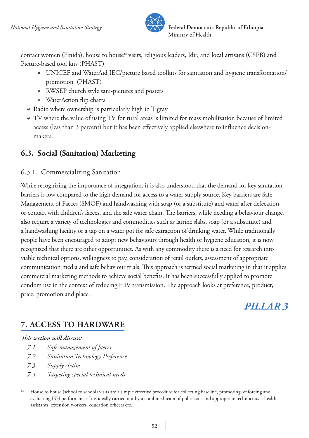

contact women (Finida), house to house<sup>18</sup> visits, religious leaders, Idir, and local artisans (CSFB) and Picture-based tool kits (PHAST)

- UNICEF and WaterAid IEC/picture based toolkits for sanitation and hygiene transformation/ » promotion (PHAST)
- RWSEP church style sani-pictures and posters »
- WaterAction flip charts »
- Radio where ownership is particularly high in Tigray ◉
- TV where the value of using TV for rural areas is limited for mass mobilization because of limited ◉access (less than 3 percent) but it has been effectively applied elsewhere to influence decisionmakers.

### **6.3. Social (Sanitation) Marketing**

#### 6.3.1. Commercializing Sanitation

While recognizing the importance of integration, it is also understood that the demand for key sanitation barriers is low compared to the high demand for access to a water supply source. Key barriers are Safe Management of Faeces (SMOF) and handwashing with soap (or a substitute) and water after defecation or contact with children's faeces, and the safe water chain. The barriers, while needing a behaviour change, also require a variety of technologies and commodities such as latrine slabs, soap (or a substitute) and a handwashing facility or a tap on a water pot for safe extraction of drinking water. While traditionally people have been encouraged to adopt new behaviours through health or hygiene education, it is now recognized that there are other opportunities. As with any commodity there is a need for research into viable technical options, willingness to pay, consideration of retail outlets, assessment of appropriate communication media and safe behaviour trials. This approach is termed social marketing in that it applies commercial marketing methods to achieve social benefits. It has been successfully applied to promote condom use in the context of reducing HIV transmission. The approach looks at preference, product, price, promotion and place.

### *PILLAR 3*

### **7. Access to Hardware**

#### *This section will discuss:*

- *7.1 Safe management of faeces*
- *7.2 Sanitation Technology Preference*
- *7.3 Supply chains*
- *7.4 Targeting special technical needs*

<sup>18</sup> House to house (school to school) visits are a simple effective procedure for collecting baseline, promoting, enforcing and evaluating ISH performance. It is ideally carried out by a combined team of politicians and appropriate technocrats – health assistants, extension workers, education officers etc.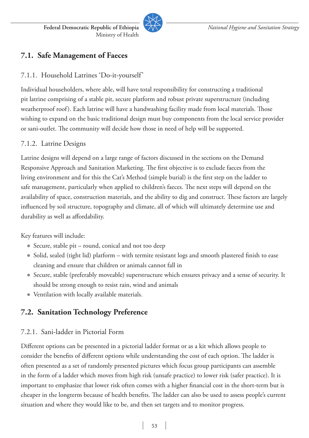**Federal Democratic Republic of Ethiopia** *NA National Hygiene and Sanitation Strategy* Ministry of Health



#### **7.1. Safe Management of Faeces**

#### 7.1.1. Household Latrines 'Do-it-yourself'

Individual householders, where able, will have total responsibility for constructing a traditional pit latrine comprising of a stable pit, secure platform and robust private superstructure (including weatherproof roof). Each latrine will have a handwashing facility made from local materials. Those wishing to expand on the basic traditional design must buy components from the local service provider or sani-outlet. The community will decide how those in need of help will be supported.

#### 7.1.2. Latrine Designs

Latrine designs will depend on a large range of factors discussed in the sections on the Demand Responsive Approach and Sanitation Marketing. The first objective is to exclude faeces from the living environment and for this the Cat's Method (simple burial) is the first step on the ladder to safe management, particularly when applied to children's faeces. The next steps will depend on the availability of space, construction materials, and the ability to dig and construct. These factors are largely influenced by soil structure, topography and climate, all of which will ultimately determine use and durability as well as affordability.

Key features will include:

- ◎ Secure, stable pit round, conical and not too deep
- Solid, sealed (tight lid) platform with termite resistant logs and smooth plastered finish to ease ◉ cleaning and ensure that children or animals cannot fall in
- $\bullet\,$  Secure, stable (preferably moveable) superstructure which ensures privacy and a sense of security. It should be strong enough to resist rain, wind and animals
- Ventilation with locally available materials. ◉

### **7.2. Sanitation Technology Preference**

#### 7.2.1. Sani-ladder in Pictorial Form

Different options can be presented in a pictorial ladder format or as a kit which allows people to consider the benefits of different options while understanding the cost of each option. The ladder is often presented as a set of randomly presented pictures which focus group participants can assemble in the form of a ladder which moves from high risk (unsafe practice) to lower risk (safer practice). It is important to emphasize that lower risk often comes with a higher financial cost in the short-term but is cheaper in the longterm because of health benefits. The ladder can also be used to assess people's current situation and where they would like to be, and then set targets and to monitor progress.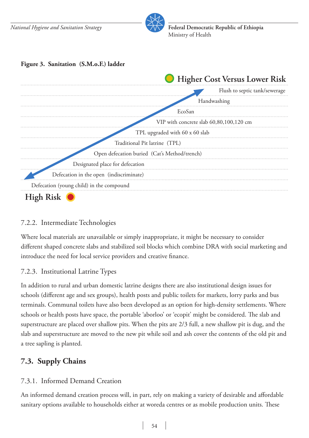

#### **Figure 3. Sanitation (S.M.o.F.) ladder**



#### 7.2.2. Intermediate Technologies

Where local materials are unavailable or simply inappropriate, it might be necessary to consider different shaped concrete slabs and stabilized soil blocks which combine DRA with social marketing and introduce the need for local service providers and creative finance.

#### 7.2.3. Institutional Latrine Types

In addition to rural and urban domestic latrine designs there are also institutional design issues for schools (different age and sex groups), health posts and public toilets for markets, lorry parks and bus terminals. Communal toilets have also been developed as an option for high-density settlements. Where schools or health posts have space, the portable 'aborloo' or 'ecopit' might be considered. The slab and superstructure are placed over shallow pits. When the pits are 2/3 full, a new shallow pit is dug, and the slab and superstructure are moved to the new pit while soil and ash cover the contents of the old pit and a tree sapling is planted.

#### **7.3. Supply Chains**

#### 7.3.1. Informed Demand Creation

An informed demand creation process will, in part, rely on making a variety of desirable and affordable sanitary options available to households either at woreda centres or as mobile production units. These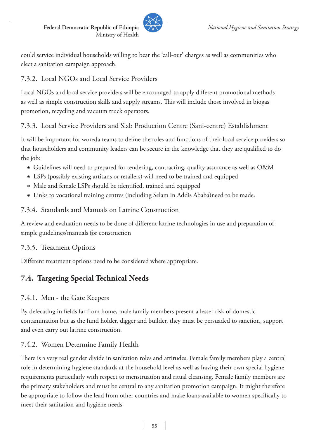**Federal Democratic Republic of Ethiopia** *NA National Hygiene and Sanitation Strategy* Ministry of Health



could service individual households willing to bear the 'call-out' charges as well as communities who elect a sanitation campaign approach.

#### 7.3.2. Local NGOs and Local Service Providers

Local NGOs and local service providers will be encouraged to apply different promotional methods as well as simple construction skills and supply streams. This will include those involved in biogas promotion, recycling and vacuum truck operators.

#### 7.3.3. Local Service Providers and Slab Production Centre (Sani-centre) Establishment

It will be important for woreda teams to define the roles and functions of their local service providers so that householders and community leaders can be secure in the knowledge that they are qualified to do the job:

- $\circ$  Guidelines will need to prepared for tendering, contracting, quality assurance as well as O&M
- LSPs (possibly existing artisans or retailers) will need to be trained and equipped ◉
- Male and female LSPs should be identified, trained and equipped ◉
- Links to vocational training centres (including Selam in Addis Ababa)need to be made. ◉

#### 7.3.4. Standards and Manuals on Latrine Construction

A review and evaluation needs to be done of different latrine technologies in use and preparation of simple guidelines/manuals for construction

#### 7.3.5. Treatment Options

Different treatment options need to be considered where appropriate.

#### **7.4. Targeting Special Technical Needs**

#### 7.4.1. Men - the Gate Keepers

By defecating in fields far from home, male family members present a lesser risk of domestic contamination but as the fund holder, digger and builder, they must be persuaded to sanction, support and even carry out latrine construction.

#### 7.4.2. Women Determine Family Health

There is a very real gender divide in sanitation roles and attitudes. Female family members play a central role in determining hygiene standards at the household level as well as having their own special hygiene requirements particularly with respect to menstruation and ritual cleansing. Female family members are the primary stakeholders and must be central to any sanitation promotion campaign. It might therefore be appropriate to follow the lead from other countries and make loans available to women specifically to meet their sanitation and hygiene needs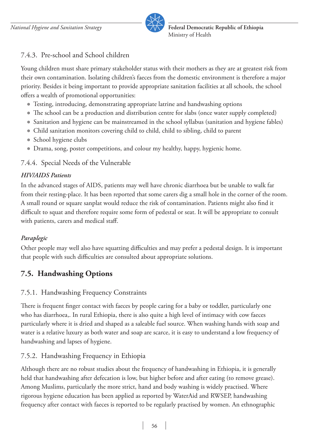

### 7.4.3. Pre-school and School children

Young children must share primary stakeholder status with their mothers as they are at greatest risk from their own contamination. Isolating children's faeces from the domestic environment is therefore a major priority. Besides it being important to provide appropriate sanitation facilities at all schools, the school offers a wealth of promotional opportunities:

- Testing, introducing, demonstrating appropriate latrine and handwashing options ◉
- The school can be a production and distribution centre for slabs (once water supply completed) ◉
- Sanitation and hygiene can be mainstreamed in the school syllabus (sanitation and hygiene fables) ◉
- Child sanitation monitors covering child to child, child to sibling, child to parent ◉
- School hygiene clubs ◉
- Drama, song, poster competitions, and colour my healthy, happy, hygienic home. ◉

7.4.4. Special Needs of the Vulnerable

#### *HIV/AIDS Patients*

In the advanced stages of AIDS, patients may well have chronic diarrhoea but be unable to walk far from their resting-place. It has been reported that some carers dig a small hole in the corner of the room. A small round or square sanplat would reduce the risk of contamination. Patients might also find it difficult to squat and therefore require some form of pedestal or seat. It will be appropriate to consult with patients, carers and medical staff.

#### *Paraplegic*

Other people may well also have squatting difficulties and may prefer a pedestal design. It is important that people with such difficulties are consulted about appropriate solutions.

### **7.5. Handwashing Options**

### 7.5.1. Handwashing Frequency Constraints

There is frequent finger contact with faeces by people caring for a baby or toddler, particularly one who has diarrhoea,. In rural Ethiopia, there is also quite a high level of intimacy with cow faeces particularly where it is dried and shaped as a saleable fuel source. When washing hands with soap and water is a relative luxury as both water and soap are scarce, it is easy to understand a low frequency of handwashing and lapses of hygiene.

### 7.5.2. Handwashing Frequency in Ethiopia

Although there are no robust studies about the frequency of handwashing in Ethiopia, it is generally held that handwashing after defecation is low, but higher before and after eating (to remove grease). Among Muslims, particularly the more strict, hand and body washing is widely practised. Where rigorous hygiene education has been applied as reported by WaterAid and RWSEP, handwashing frequency after contact with faeces is reported to be regularly practised by women. An ethnographic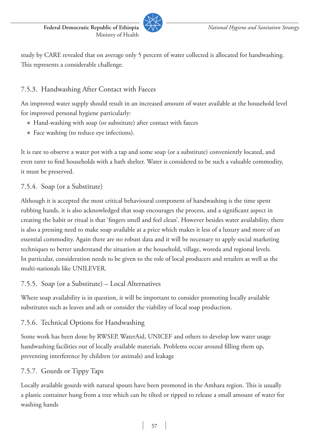**Federal Democratic Republic of Ethiopia** *NA National Hygiene and Sanitation Strategy* Ministry of Health



study by CARE revealed that on average only 5 percent of water collected is allocated for handwashing. This represents a considerable challenge.

#### 7.5.3. Handwashing After Contact with Faeces

An improved water supply should result in an increased amount of water available at the household level for improved personal hygiene particularly:

- Hand-washing with soap (or substitute) after contact with faeces ◉
- Face washing (to reduce eye infections). ◉

It is rare to observe a water pot with a tap and some soap (or a substitute) conveniently located, and even rarer to find households with a bath shelter. Water is considered to be such a valuable commodity, it must be preserved.

#### 7.5.4. Soap (or a Substitute)

Although it is accepted the most critical behavioural component of handwashing is the time spent rubbing hands, it is also acknowledged that soap encourages the process, and a significant aspect in creating the habit or ritual is that 'fingers smell and feel clean'. However besides water availability, there is also a pressing need to make soap available at a price which makes it less of a luxury and more of an essential commodity. Again there are no robust data and it will be necessary to apply social marketing techniques to better understand the situation at the household, village, woreda and regional levels. In particular, consideration needs to be given to the role of local producers and retailers as well as the multi-nationals like UNILEVER.

#### 7.5.5. Soap (or a Substitute) – Local Alternatives

Where soap availability is in question, it will be important to consider promoting locally available substitutes such as leaves and ash or consider the viability of local soap production.

#### 7.5.6. Technical Options for Handwashing

Some work has been done by RWSEP, WaterAid, UNICEF and others to develop low water usage handwashing facilities out of locally available materials. Problems occur around filling them up, preventing interference by children (or animals) and leakage

#### 7.5.7. Gourds or Tippy Taps

Locally available gourds with natural spouts have been promoted in the Amhara region. This is usually a plastic container hung from a tree which can be tilted or tipped to release a small amount of water for washing hands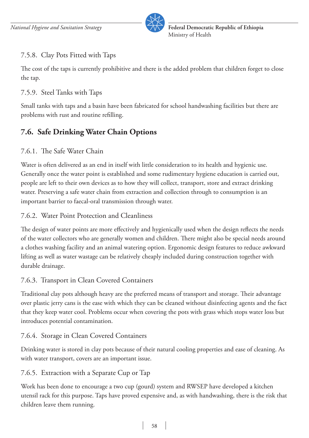

#### 7.5.8. Clay Pots Fitted with Taps

The cost of the taps is currently prohibitive and there is the added problem that children forget to close the tap.

#### 7.5.9. Steel Tanks with Taps

Small tanks with taps and a basin have been fabricated for school handwashing facilities but there are problems with rust and routine refilling.

### **7.6. Safe Drinking Water Chain Options**

#### 7.6.1. The Safe Water Chain

Water is often delivered as an end in itself with little consideration to its health and hygienic use. Generally once the water point is established and some rudimentary hygiene education is carried out, people are left to their own devices as to how they will collect, transport, store and extract drinking water. Preserving a safe water chain from extraction and collection through to consumption is an important barrier to faecal-oral transmission through water.

#### 7.6.2. Water Point Protection and Cleanliness

The design of water points are more effectively and hygienically used when the design reflects the needs of the water collectors who are generally women and children. There might also be special needs around a clothes washing facility and an animal watering option. Ergonomic design features to reduce awkward lifting as well as water wastage can be relatively cheaply included during construction together with durable drainage.

#### 7.6.3. Transport in Clean Covered Containers

Traditional clay pots although heavy are the preferred means of transport and storage. Their advantage over plastic jerry cans is the ease with which they can be cleaned without disinfecting agents and the fact that they keep water cool. Problems occur when covering the pots with grass which stops water loss but introduces potential contamination.

#### 7.6.4. Storage in Clean Covered Containers

Drinking water is stored in clay pots because of their natural cooling properties and ease of cleaning. As with water transport, covers are an important issue.

#### 7.6.5. Extraction with a Separate Cup or Tap

Work has been done to encourage a two cup (gourd) system and RWSEP have developed a kitchen utensil rack for this purpose. Taps have proved expensive and, as with handwashing, there is the risk that children leave them running.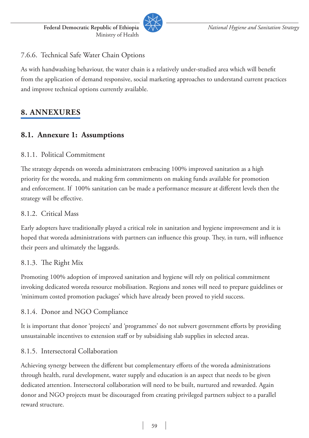

#### 7.6.6. Technical Safe Water Chain Options

As with handwashing behaviour, the water chain is a relatively under-studied area which will benefit from the application of demand responsive, social marketing approaches to understand current practices and improve technical options currently available.

### **8. annexures**

#### **8.1. Annexure 1: Assumptions**

#### 8.1.1. Political Commitment

The strategy depends on woreda administrators embracing 100% improved sanitation as a high priority for the woreda, and making firm commitments on making funds available for promotion and enforcement. If 100% sanitation can be made a performance measure at different levels then the strategy will be effective.

#### 8.1.2. Critical Mass

Early adopters have traditionally played a critical role in sanitation and hygiene improvement and it is hoped that woreda administrations with partners can influence this group. They, in turn, will influence their peers and ultimately the laggards.

#### 8.1.3. The Right Mix

Promoting 100% adoption of improved sanitation and hygiene will rely on political commitment invoking dedicated woreda resource mobilisation. Regions and zones will need to prepare guidelines or 'minimum costed promotion packages' which have already been proved to yield success.

#### 8.1.4. Donor and NGO Compliance

It is important that donor 'projects' and 'programmes' do not subvert government efforts by providing unsustainable incentives to extension staff or by subsidising slab supplies in selected areas.

#### 8.1.5. Intersectoral Collaboration

Achieving synergy between the different but complementary efforts of the woreda administrations through health, rural development, water supply and education is an aspect that needs to be given dedicated attention. Intersectoral collaboration will need to be built, nurtured and rewarded. Again donor and NGO projects must be discouraged from creating privileged partners subject to a parallel reward structure.